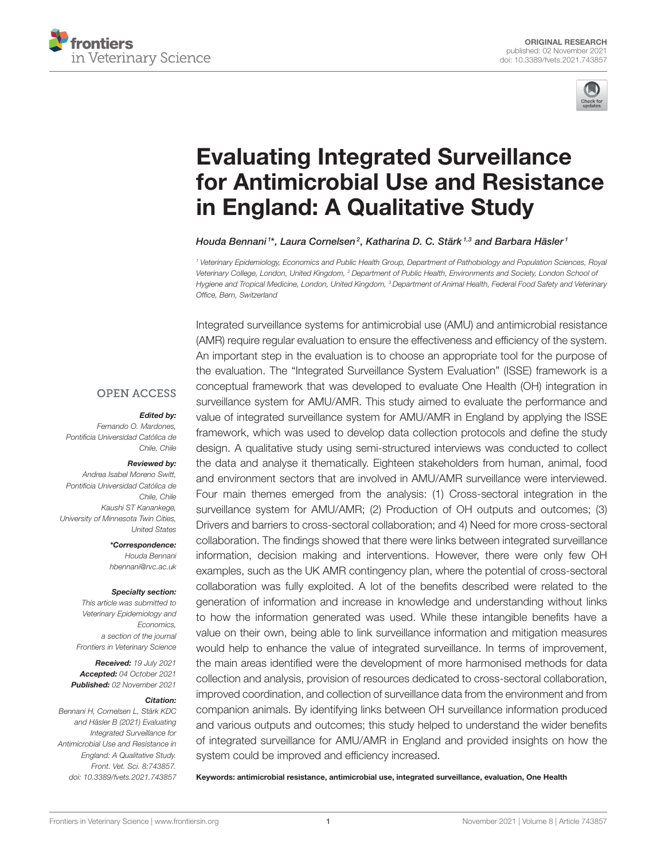



# Evaluating Integrated Surveillance [for Antimicrobial Use and Resistance](https://www.frontiersin.org/articles/10.3389/fvets.2021.743857/full) in England: A Qualitative Study

Houda Bennani 1\*, Laura Cornelsen<sup>2</sup>, Katharina D. C. Stärk <sup>1,3</sup> and Barbara Häsler <sup>1</sup>

<sup>1</sup> Veterinary Epidemiology, Economics and Public Health Group, Department of Pathobiology and Population Sciences, Royal Veterinary College, London, United Kingdom, <sup>2</sup> Department of Public Health, Environments and Society, London School of Hygiene and Tropical Medicine, London, United Kingdom, <sup>3</sup> Department of Animal Health, Federal Food Safety and Veterinary Office, Bern, Switzerland

#### **OPEN ACCESS**

#### Edited by:

Fernando O. Mardones, Pontificia Universidad Católica de Chile, Chile

#### Reviewed by:

Andrea Isabel Moreno Switt, Pontificia Universidad Católica de Chile, Chile Kaushi ST Kanankege, University of Minnesota Twin Cities, United States

> \*Correspondence: Houda Bennani

[hbennani@rvc.ac.uk](mailto:hbennani@rvc.ac.uk)

#### Specialty section:

This article was submitted to Veterinary Epidemiology and Economics, a section of the journal Frontiers in Veterinary Science

Received: 19 July 2021 Accepted: 04 October 2021 Published: 02 November 2021

#### Citation:

Bennani H, Cornelsen L, Stärk KDC and Häsler B (2021) Evaluating Integrated Surveillance for Antimicrobial Use and Resistance in England: A Qualitative Study. Front. Vet. Sci. 8:743857. doi: [10.3389/fvets.2021.743857](https://doi.org/10.3389/fvets.2021.743857)

Integrated surveillance systems for antimicrobial use (AMU) and antimicrobial resistance (AMR) require regular evaluation to ensure the effectiveness and efficiency of the system. An important step in the evaluation is to choose an appropriate tool for the purpose of the evaluation. The "Integrated Surveillance System Evaluation" (ISSE) framework is a conceptual framework that was developed to evaluate One Health (OH) integration in surveillance system for AMU/AMR. This study aimed to evaluate the performance and value of integrated surveillance system for AMU/AMR in England by applying the ISSE framework, which was used to develop data collection protocols and define the study design. A qualitative study using semi-structured interviews was conducted to collect the data and analyse it thematically. Eighteen stakeholders from human, animal, food and environment sectors that are involved in AMU/AMR surveillance were interviewed. Four main themes emerged from the analysis: (1) Cross-sectoral integration in the surveillance system for AMU/AMR; (2) Production of OH outputs and outcomes; (3) Drivers and barriers to cross-sectoral collaboration; and 4) Need for more cross-sectoral collaboration. The findings showed that there were links between integrated surveillance information, decision making and interventions. However, there were only few OH examples, such as the UK AMR contingency plan, where the potential of cross-sectoral collaboration was fully exploited. A lot of the benefits described were related to the generation of information and increase in knowledge and understanding without links to how the information generated was used. While these intangible benefits have a value on their own, being able to link surveillance information and mitigation measures would help to enhance the value of integrated surveillance. In terms of improvement, the main areas identified were the development of more harmonised methods for data collection and analysis, provision of resources dedicated to cross-sectoral collaboration, improved coordination, and collection of surveillance data from the environment and from companion animals. By identifying links between OH surveillance information produced and various outputs and outcomes; this study helped to understand the wider benefits of integrated surveillance for AMU/AMR in England and provided insights on how the system could be improved and efficiency increased.

Keywords: antimicrobial resistance, antimicrobial use, integrated surveillance, evaluation, One Health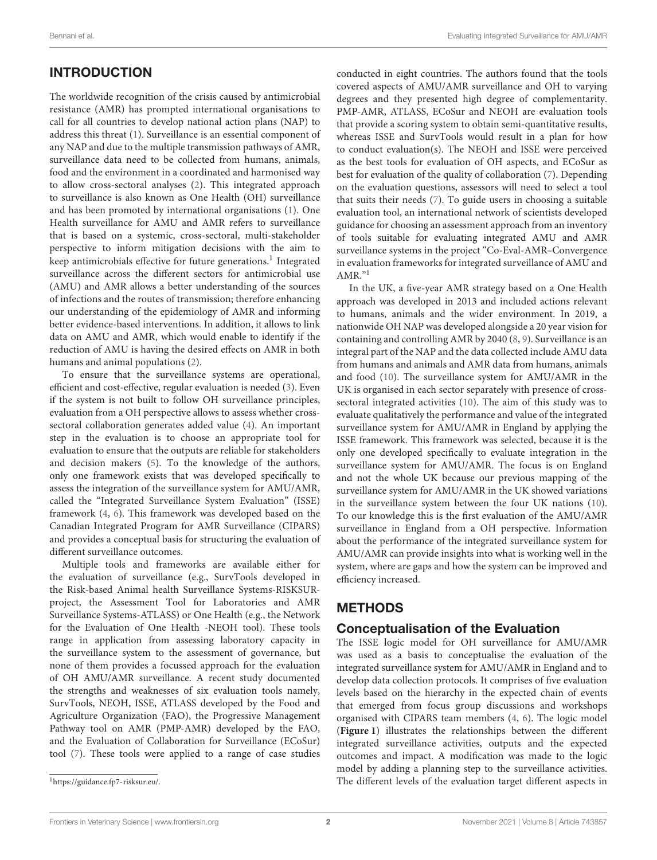# INTRODUCTION

The worldwide recognition of the crisis caused by antimicrobial resistance (AMR) has prompted international organisations to call for all countries to develop national action plans (NAP) to address this threat [\(1\)](#page-14-0). Surveillance is an essential component of any NAP and due to the multiple transmission pathways of AMR, surveillance data need to be collected from humans, animals, food and the environment in a coordinated and harmonised way to allow cross-sectoral analyses [\(2\)](#page-14-1). This integrated approach to surveillance is also known as One Health (OH) surveillance and has been promoted by international organisations [\(1\)](#page-14-0). One Health surveillance for AMU and AMR refers to surveillance that is based on a systemic, cross-sectoral, multi-stakeholder perspective to inform mitigation decisions with the aim to keep antimicrobials effective for future generations.<sup>[1](#page-1-0)</sup> Integrated surveillance across the different sectors for antimicrobial use (AMU) and AMR allows a better understanding of the sources of infections and the routes of transmission; therefore enhancing our understanding of the epidemiology of AMR and informing better evidence-based interventions. In addition, it allows to link data on AMU and AMR, which would enable to identify if the reduction of AMU is having the desired effects on AMR in both humans and animal populations [\(2\)](#page-14-1).

To ensure that the surveillance systems are operational, efficient and cost-effective, regular evaluation is needed [\(3\)](#page-14-2). Even if the system is not built to follow OH surveillance principles, evaluation from a OH perspective allows to assess whether crosssectoral collaboration generates added value [\(4\)](#page-14-3). An important step in the evaluation is to choose an appropriate tool for evaluation to ensure that the outputs are reliable for stakeholders and decision makers [\(5\)](#page-14-4). To the knowledge of the authors, only one framework exists that was developed specifically to assess the integration of the surveillance system for AMU/AMR, called the "Integrated Surveillance System Evaluation" (ISSE) framework [\(4,](#page-14-3) [6\)](#page-14-5). This framework was developed based on the Canadian Integrated Program for AMR Surveillance (CIPARS) and provides a conceptual basis for structuring the evaluation of different surveillance outcomes.

Multiple tools and frameworks are available either for the evaluation of surveillance (e.g., SurvTools developed in the Risk-based Animal health Surveillance Systems-RISKSURproject, the Assessment Tool for Laboratories and AMR Surveillance Systems-ATLASS) or One Health (e.g., the Network for the Evaluation of One Health -NEOH tool). These tools range in application from assessing laboratory capacity in the surveillance system to the assessment of governance, but none of them provides a focussed approach for the evaluation of OH AMU/AMR surveillance. A recent study documented the strengths and weaknesses of six evaluation tools namely, SurvTools, NEOH, ISSE, ATLASS developed by the Food and Agriculture Organization (FAO), the Progressive Management Pathway tool on AMR (PMP-AMR) developed by the FAO, and the Evaluation of Collaboration for Surveillance (ECoSur) tool [\(7\)](#page-14-6). These tools were applied to a range of case studies

conducted in eight countries. The authors found that the tools covered aspects of AMU/AMR surveillance and OH to varying degrees and they presented high degree of complementarity. PMP-AMR, ATLASS, ECoSur and NEOH are evaluation tools that provide a scoring system to obtain semi-quantitative results, whereas ISSE and SurvTools would result in a plan for how to conduct evaluation(s). The NEOH and ISSE were perceived as the best tools for evaluation of OH aspects, and ECoSur as best for evaluation of the quality of collaboration [\(7\)](#page-14-6). Depending on the evaluation questions, assessors will need to select a tool that suits their needs [\(7\)](#page-14-6). To guide users in choosing a suitable evaluation tool, an international network of scientists developed guidance for choosing an assessment approach from an inventory of tools suitable for evaluating integrated AMU and AMR surveillance systems in the project "Co-Eval-AMR–Convergence in evaluation frameworks for integrated surveillance of AMU and AMR."<sup>1</sup>

In the UK, a five-year AMR strategy based on a One Health approach was developed in 2013 and included actions relevant to humans, animals and the wider environment. In 2019, a nationwide OH NAP was developed alongside a 20 year vision for containing and controlling AMR by 2040 [\(8,](#page-14-7) [9\)](#page-14-8). Surveillance is an integral part of the NAP and the data collected include AMU data from humans and animals and AMR data from humans, animals and food [\(10\)](#page-14-9). The surveillance system for AMU/AMR in the UK is organised in each sector separately with presence of crosssectoral integrated activities [\(10\)](#page-14-9). The aim of this study was to evaluate qualitatively the performance and value of the integrated surveillance system for AMU/AMR in England by applying the ISSE framework. This framework was selected, because it is the only one developed specifically to evaluate integration in the surveillance system for AMU/AMR. The focus is on England and not the whole UK because our previous mapping of the surveillance system for AMU/AMR in the UK showed variations in the surveillance system between the four UK nations [\(10\)](#page-14-9). To our knowledge this is the first evaluation of the AMU/AMR surveillance in England from a OH perspective. Information about the performance of the integrated surveillance system for AMU/AMR can provide insights into what is working well in the system, where are gaps and how the system can be improved and efficiency increased.

# **METHODS**

### Conceptualisation of the Evaluation

The ISSE logic model for OH surveillance for AMU/AMR was used as a basis to conceptualise the evaluation of the integrated surveillance system for AMU/AMR in England and to develop data collection protocols. It comprises of five evaluation levels based on the hierarchy in the expected chain of events that emerged from focus group discussions and workshops organised with CIPARS team members [\(4,](#page-14-3) [6\)](#page-14-5). The logic model (**[Figure 1](#page-2-0)**) illustrates the relationships between the different integrated surveillance activities, outputs and the expected outcomes and impact. A modification was made to the logic model by adding a planning step to the surveillance activities. The different levels of the evaluation target different aspects in

<span id="page-1-0"></span><sup>1</sup>[https://guidance.fp7-risksur.eu/.](https://guidance.fp7-risksur.eu/)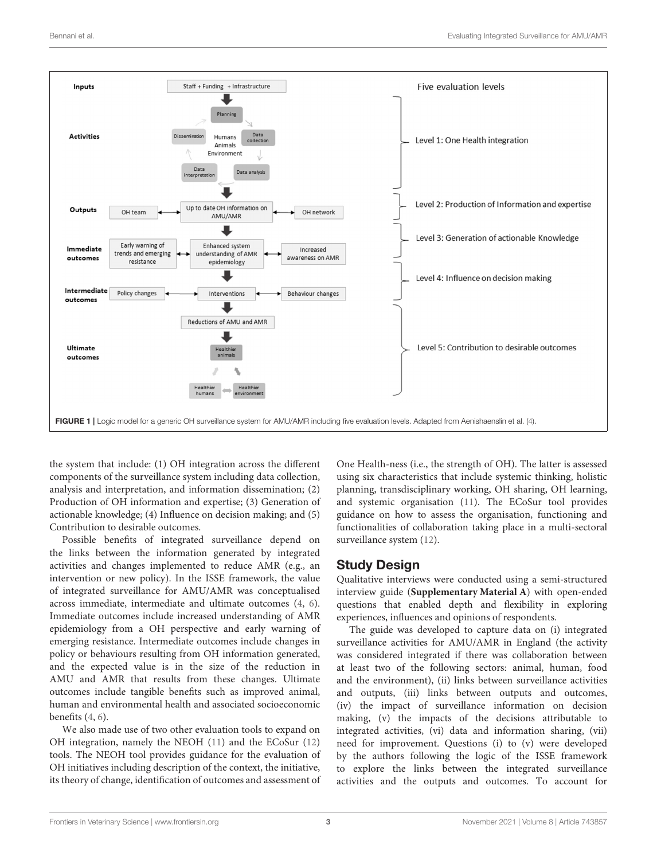

<span id="page-2-0"></span>the system that include: (1) OH integration across the different components of the surveillance system including data collection, analysis and interpretation, and information dissemination; (2) Production of OH information and expertise; (3) Generation of actionable knowledge; (4) Influence on decision making; and (5) Contribution to desirable outcomes.

Possible benefits of integrated surveillance depend on the links between the information generated by integrated activities and changes implemented to reduce AMR (e.g., an intervention or new policy). In the ISSE framework, the value of integrated surveillance for AMU/AMR was conceptualised across immediate, intermediate and ultimate outcomes [\(4,](#page-14-3) [6\)](#page-14-5). Immediate outcomes include increased understanding of AMR epidemiology from a OH perspective and early warning of emerging resistance. Intermediate outcomes include changes in policy or behaviours resulting from OH information generated, and the expected value is in the size of the reduction in AMU and AMR that results from these changes. Ultimate outcomes include tangible benefits such as improved animal, human and environmental health and associated socioeconomic benefits [\(4,](#page-14-3) [6\)](#page-14-5).

We also made use of two other evaluation tools to expand on OH integration, namely the NEOH [\(11\)](#page-14-10) and the ECoSur [\(12\)](#page-14-11) tools. The NEOH tool provides guidance for the evaluation of OH initiatives including description of the context, the initiative, its theory of change, identification of outcomes and assessment of One Health-ness (i.e., the strength of OH). The latter is assessed using six characteristics that include systemic thinking, holistic planning, transdisciplinary working, OH sharing, OH learning, and systemic organisation [\(11\)](#page-14-10). The ECoSur tool provides guidance on how to assess the organisation, functioning and functionalities of collaboration taking place in a multi-sectoral surveillance system [\(12\)](#page-14-11).

### Study Design

Qualitative interviews were conducted using a semi-structured interview guide (**[Supplementary Material A](#page-13-0)**) with open-ended questions that enabled depth and flexibility in exploring experiences, influences and opinions of respondents.

The guide was developed to capture data on (i) integrated surveillance activities for AMU/AMR in England (the activity was considered integrated if there was collaboration between at least two of the following sectors: animal, human, food and the environment), (ii) links between surveillance activities and outputs, (iii) links between outputs and outcomes, (iv) the impact of surveillance information on decision making, (v) the impacts of the decisions attributable to integrated activities, (vi) data and information sharing, (vii) need for improvement. Questions (i) to (v) were developed by the authors following the logic of the ISSE framework to explore the links between the integrated surveillance activities and the outputs and outcomes. To account for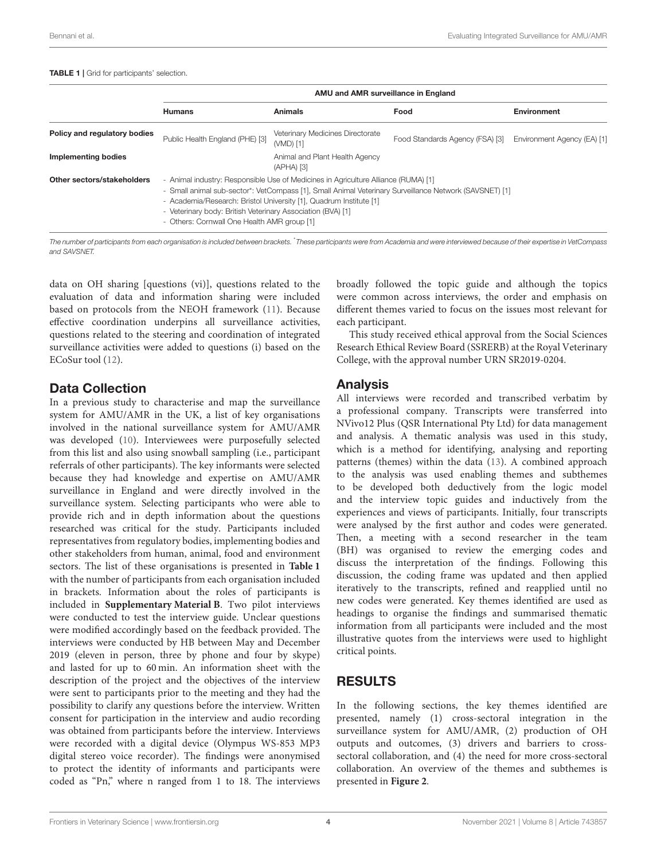#### <span id="page-3-0"></span>TABLE 1 | Grid for participants' selection.

|                              | AMU and AMR surveillance in England                                                                                                                                                                                                                                                                                                                                              |                                               |                                 |                             |
|------------------------------|----------------------------------------------------------------------------------------------------------------------------------------------------------------------------------------------------------------------------------------------------------------------------------------------------------------------------------------------------------------------------------|-----------------------------------------------|---------------------------------|-----------------------------|
|                              | <b>Humans</b>                                                                                                                                                                                                                                                                                                                                                                    | <b>Animals</b>                                | Food                            | Environment                 |
| Policy and regulatory bodies | Public Health England (PHE) [3]                                                                                                                                                                                                                                                                                                                                                  | Veterinary Medicines Directorate<br>(VMD) [1] | Food Standards Agency (FSA) [3] | Environment Agency (EA) [1] |
| <b>Implementing bodies</b>   |                                                                                                                                                                                                                                                                                                                                                                                  | Animal and Plant Health Agency<br>(APHA) [3]  |                                 |                             |
| Other sectors/stakeholders   | - Animal industry: Responsible Use of Medicines in Agriculture Alliance (RUMA) [1]<br>- Small animal sub-sector*: VetCompass [1], Small Animal Veterinary Surveillance Network (SAVSNET) [1]<br>- Academia/Research: Bristol University [1], Quadrum Institute [1]<br>- Veterinary body: British Veterinary Association (BVA) [1]<br>- Others: Cornwall One Health AMR group [1] |                                               |                                 |                             |

The number of participants from each organisation is included between brackets. \*These participants were from Academia and were interviewed because of their expertise in VetCompass and SAVSNET.

data on OH sharing [questions (vi)], questions related to the evaluation of data and information sharing were included based on protocols from the NEOH framework [\(11\)](#page-14-10). Because effective coordination underpins all surveillance activities, questions related to the steering and coordination of integrated surveillance activities were added to questions (i) based on the ECoSur tool [\(12\)](#page-14-11).

### Data Collection

In a previous study to characterise and map the surveillance system for AMU/AMR in the UK, a list of key organisations involved in the national surveillance system for AMU/AMR was developed [\(10\)](#page-14-9). Interviewees were purposefully selected from this list and also using snowball sampling (i.e., participant referrals of other participants). The key informants were selected because they had knowledge and expertise on AMU/AMR surveillance in England and were directly involved in the surveillance system. Selecting participants who were able to provide rich and in depth information about the questions researched was critical for the study. Participants included representatives from regulatory bodies, implementing bodies and other stakeholders from human, animal, food and environment sectors. The list of these organisations is presented in **[Table 1](#page-3-0)** with the number of participants from each organisation included in brackets. Information about the roles of participants is included in **[Supplementary Material B](#page-13-0)**. Two pilot interviews were conducted to test the interview guide. Unclear questions were modified accordingly based on the feedback provided. The interviews were conducted by HB between May and December 2019 (eleven in person, three by phone and four by skype) and lasted for up to 60 min. An information sheet with the description of the project and the objectives of the interview were sent to participants prior to the meeting and they had the possibility to clarify any questions before the interview. Written consent for participation in the interview and audio recording was obtained from participants before the interview. Interviews were recorded with a digital device (Olympus WS-853 MP3 digital stereo voice recorder). The findings were anonymised to protect the identity of informants and participants were coded as "Pn," where n ranged from 1 to 18. The interviews broadly followed the topic guide and although the topics were common across interviews, the order and emphasis on different themes varied to focus on the issues most relevant for each participant.

This study received ethical approval from the Social Sciences Research Ethical Review Board (SSRERB) at the Royal Veterinary College, with the approval number URN SR2019-0204.

### Analysis

All interviews were recorded and transcribed verbatim by a professional company. Transcripts were transferred into NVivo12 Plus (QSR International Pty Ltd) for data management and analysis. A thematic analysis was used in this study, which is a method for identifying, analysing and reporting patterns (themes) within the data [\(13\)](#page-14-12). A combined approach to the analysis was used enabling themes and subthemes to be developed both deductively from the logic model and the interview topic guides and inductively from the experiences and views of participants. Initially, four transcripts were analysed by the first author and codes were generated. Then, a meeting with a second researcher in the team (BH) was organised to review the emerging codes and discuss the interpretation of the findings. Following this discussion, the coding frame was updated and then applied iteratively to the transcripts, refined and reapplied until no new codes were generated. Key themes identified are used as headings to organise the findings and summarised thematic information from all participants were included and the most illustrative quotes from the interviews were used to highlight critical points.

### RESULTS

In the following sections, the key themes identified are presented, namely (1) cross-sectoral integration in the surveillance system for AMU/AMR, (2) production of OH outputs and outcomes, (3) drivers and barriers to crosssectoral collaboration, and (4) the need for more cross-sectoral collaboration. An overview of the themes and subthemes is presented in **[Figure 2](#page-4-0)**.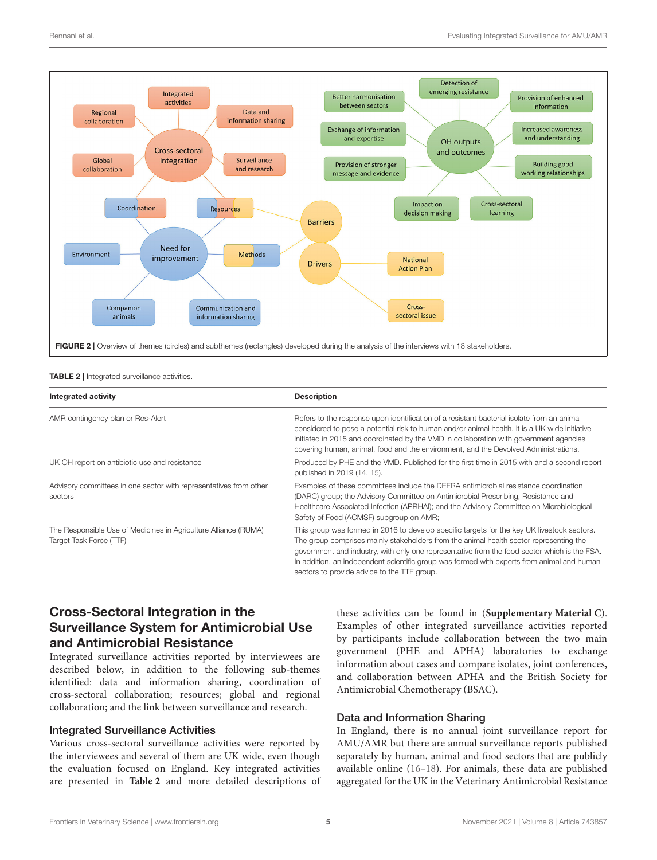

<span id="page-4-1"></span><span id="page-4-0"></span>TABLE 2 | Integrated surveillance activities.

| Integrated activity                                                                        | <b>Description</b>                                                                                                                                                                                                                                                                                                                                                                                                                 |  |
|--------------------------------------------------------------------------------------------|------------------------------------------------------------------------------------------------------------------------------------------------------------------------------------------------------------------------------------------------------------------------------------------------------------------------------------------------------------------------------------------------------------------------------------|--|
| AMR contingency plan or Res-Alert                                                          | Refers to the response upon identification of a resistant bacterial isolate from an animal<br>considered to pose a potential risk to human and/or animal health. It is a UK wide initiative<br>initiated in 2015 and coordinated by the VMD in collaboration with government agencies<br>covering human, animal, food and the environment, and the Devolved Administrations.                                                       |  |
| UK OH report on antibiotic use and resistance                                              | Produced by PHE and the VMD. Published for the first time in 2015 with and a second report<br>published in 2019 (14, 15).                                                                                                                                                                                                                                                                                                          |  |
| Advisory committees in one sector with representatives from other<br>sectors               | Examples of these committees include the DEFRA antimicrobial resistance coordination<br>(DARC) group; the Advisory Committee on Antimicrobial Prescribing, Resistance and<br>Healthcare Associated Infection (APRHAI); and the Advisory Committee on Microbiological<br>Safety of Food (ACMSF) subgroup on AMR;                                                                                                                    |  |
| The Responsible Use of Medicines in Agriculture Alliance (RUMA)<br>Target Task Force (TTF) | This group was formed in 2016 to develop specific targets for the key UK livestock sectors.<br>The group comprises mainly stakeholders from the animal health sector representing the<br>government and industry, with only one representative from the food sector which is the FSA.<br>In addition, an independent scientific group was formed with experts from animal and human<br>sectors to provide advice to the TTF group. |  |

### Cross-Sectoral Integration in the Surveillance System for Antimicrobial Use and Antimicrobial Resistance

Integrated surveillance activities reported by interviewees are described below, in addition to the following sub-themes identified: data and information sharing, coordination of cross-sectoral collaboration; resources; global and regional collaboration; and the link between surveillance and research.

#### Integrated Surveillance Activities

Various cross-sectoral surveillance activities were reported by the interviewees and several of them are UK wide, even though the evaluation focused on England. Key integrated activities are presented in **[Table 2](#page-4-1)** and more detailed descriptions of these activities can be found in (**[Supplementary Material C](#page-13-0)**). Examples of other integrated surveillance activities reported by participants include collaboration between the two main government (PHE and APHA) laboratories to exchange information about cases and compare isolates, joint conferences, and collaboration between APHA and the British Society for Antimicrobial Chemotherapy (BSAC).

#### Data and Information Sharing

In England, there is no annual joint surveillance report for AMU/AMR but there are annual surveillance reports published separately by human, animal and food sectors that are publicly available online [\(16](#page-14-15)[–18\)](#page-14-16). For animals, these data are published aggregated for the UK in the Veterinary Antimicrobial Resistance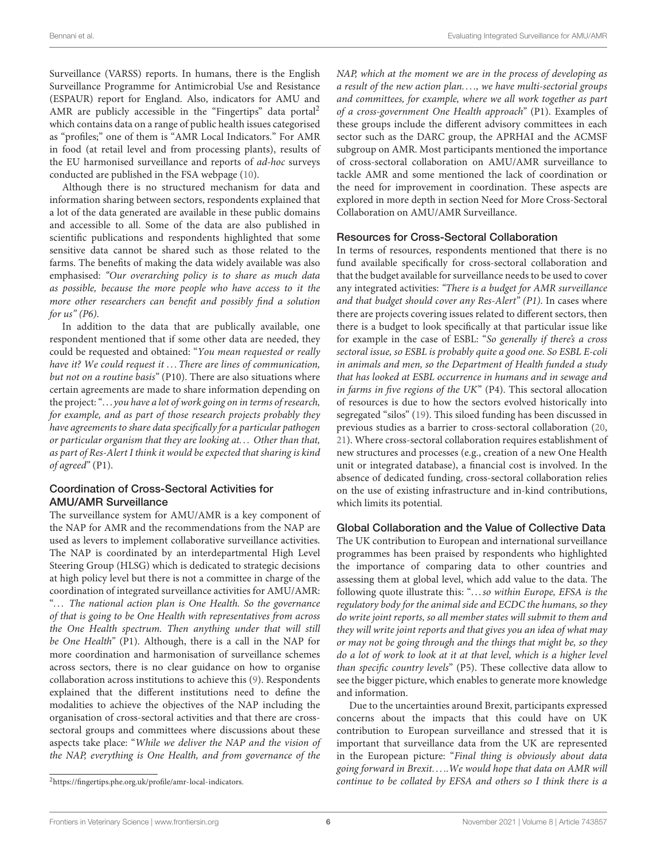Surveillance (VARSS) reports. In humans, there is the English Surveillance Programme for Antimicrobial Use and Resistance (ESPAUR) report for England. Also, indicators for AMU and AMR are publicly accessible in the "Fingertips" data portal<sup>[2](#page-5-0)</sup> which contains data on a range of public health issues categorised as "profiles;" one of them is "AMR Local Indicators." For AMR in food (at retail level and from processing plants), results of the EU harmonised surveillance and reports of ad-hoc surveys conducted are published in the FSA webpage [\(10\)](#page-14-9).

Although there is no structured mechanism for data and information sharing between sectors, respondents explained that a lot of the data generated are available in these public domains and accessible to all. Some of the data are also published in scientific publications and respondents highlighted that some sensitive data cannot be shared such as those related to the farms. The benefits of making the data widely available was also emphasised: "Our overarching policy is to share as much data as possible, because the more people who have access to it the more other researchers can benefit and possibly find a solution for  $us''(P6)$ .

In addition to the data that are publically available, one respondent mentioned that if some other data are needed, they could be requested and obtained: "You mean requested or really have it? We could request it ... There are lines of communication, but not on a routine basis" (P10). There are also situations where certain agreements are made to share information depending on the project: ". . . you have a lot of work going on in terms of research, for example, and as part of those research projects probably they have agreements to share data specifically for a particular pathogen or particular organism that they are looking at. . . Other than that, as part of Res-Alert I think it would be expected that sharing is kind of agreed" (P1).

#### Coordination of Cross-Sectoral Activities for AMU/AMR Surveillance

The surveillance system for AMU/AMR is a key component of the NAP for AMR and the recommendations from the NAP are used as levers to implement collaborative surveillance activities. The NAP is coordinated by an interdepartmental High Level Steering Group (HLSG) which is dedicated to strategic decisions at high policy level but there is not a committee in charge of the coordination of integrated surveillance activities for AMU/AMR: "... The national action plan is One Health. So the governance of that is going to be One Health with representatives from across the One Health spectrum. Then anything under that will still be One Health" (P1). Although, there is a call in the NAP for more coordination and harmonisation of surveillance schemes across sectors, there is no clear guidance on how to organise collaboration across institutions to achieve this [\(9\)](#page-14-8). Respondents explained that the different institutions need to define the modalities to achieve the objectives of the NAP including the organisation of cross-sectoral activities and that there are crosssectoral groups and committees where discussions about these aspects take place: "While we deliver the NAP and the vision of the NAP, everything is One Health, and from governance of the NAP, which at the moment we are in the process of developing as a result of the new action plan..., we have multi-sectorial groups and committees, for example, where we all work together as part of a cross-government One Health approach" (P1). Examples of these groups include the different advisory committees in each sector such as the DARC group, the APRHAI and the ACMSF subgroup on AMR. Most participants mentioned the importance of cross-sectoral collaboration on AMU/AMR surveillance to tackle AMR and some mentioned the lack of coordination or the need for improvement in coordination. These aspects are explored in more depth in section Need for More Cross-Sectoral Collaboration on AMU/AMR Surveillance.

#### Resources for Cross-Sectoral Collaboration

In terms of resources, respondents mentioned that there is no fund available specifically for cross-sectoral collaboration and that the budget available for surveillance needs to be used to cover any integrated activities: "There is a budget for AMR surveillance and that budget should cover any Res-Alert" (P1). In cases where there are projects covering issues related to different sectors, then there is a budget to look specifically at that particular issue like for example in the case of ESBL: "So generally if there's a cross sectoral issue, so ESBL is probably quite a good one. So ESBL E-coli in animals and men, so the Department of Health funded a study that has looked at ESBL occurrence in humans and in sewage and in farms in five regions of the UK" (P4). This sectoral allocation of resources is due to how the sectors evolved historically into segregated "silos" [\(19\)](#page-14-17). This siloed funding has been discussed in previous studies as a barrier to cross-sectoral collaboration [\(20,](#page-14-18) [21\)](#page-14-19). Where cross-sectoral collaboration requires establishment of new structures and processes (e.g., creation of a new One Health unit or integrated database), a financial cost is involved. In the absence of dedicated funding, cross-sectoral collaboration relies on the use of existing infrastructure and in-kind contributions, which limits its potential.

#### Global Collaboration and the Value of Collective Data

The UK contribution to European and international surveillance programmes has been praised by respondents who highlighted the importance of comparing data to other countries and assessing them at global level, which add value to the data. The following quote illustrate this: ". . .so within Europe, EFSA is the regulatory body for the animal side and ECDC the humans, so they do write joint reports, so all member states will submit to them and they will write joint reports and that gives you an idea of what may or may not be going through and the things that might be, so they do a lot of work to look at it at that level, which is a higher level than specific country levels" (P5). These collective data allow to see the bigger picture, which enables to generate more knowledge and information.

Due to the uncertainties around Brexit, participants expressed concerns about the impacts that this could have on UK contribution to European surveillance and stressed that it is important that surveillance data from the UK are represented in the European picture: "Final thing is obviously about data going forward in Brexit. . . ..We would hope that data on AMR will continue to be collated by EFSA and others so I think there is a

<span id="page-5-0"></span><sup>2</sup>[https://fingertips.phe.org.uk/profile/amr-local-indicators.](https://fingertips.phe.org.uk/profile/amr-local-indicators)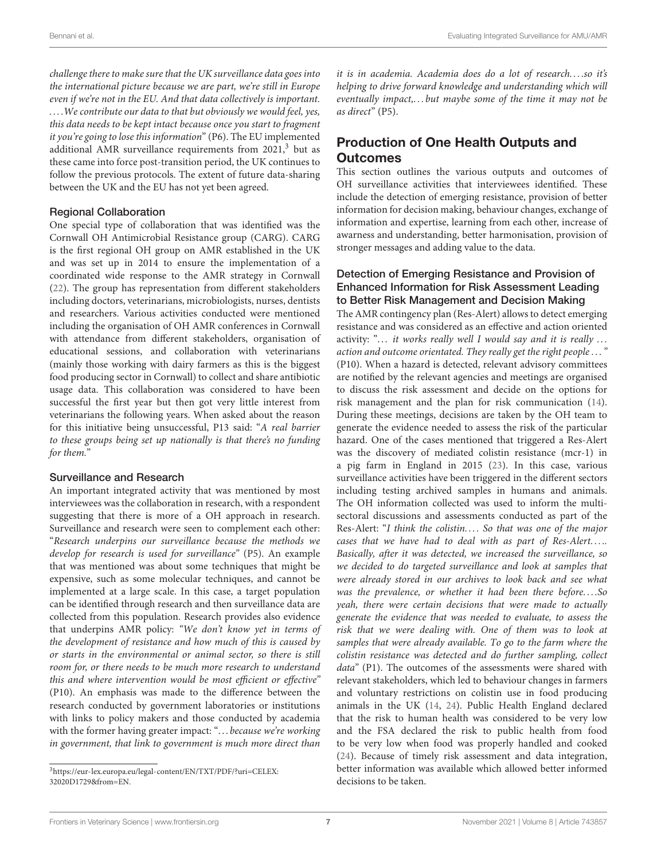challenge there to make sure that the UK surveillance data goes into the international picture because we are part, we're still in Europe even if we're not in the EU. And that data collectively is important. ... We contribute our data to that but obviously we would feel, yes, this data needs to be kept intact because once you start to fragment it you're going to lose this information" (P6). The EU implemented additional AMR surveillance requirements from  $2021$ ,<sup>[3](#page-6-0)</sup> but as these came into force post-transition period, the UK continues to follow the previous protocols. The extent of future data-sharing between the UK and the EU has not yet been agreed.

#### Regional Collaboration

One special type of collaboration that was identified was the Cornwall OH Antimicrobial Resistance group (CARG). CARG is the first regional OH group on AMR established in the UK and was set up in 2014 to ensure the implementation of a coordinated wide response to the AMR strategy in Cornwall [\(22\)](#page-14-20). The group has representation from different stakeholders including doctors, veterinarians, microbiologists, nurses, dentists and researchers. Various activities conducted were mentioned including the organisation of OH AMR conferences in Cornwall with attendance from different stakeholders, organisation of educational sessions, and collaboration with veterinarians (mainly those working with dairy farmers as this is the biggest food producing sector in Cornwall) to collect and share antibiotic usage data. This collaboration was considered to have been successful the first year but then got very little interest from veterinarians the following years. When asked about the reason for this initiative being unsuccessful, P13 said: "A real barrier to these groups being set up nationally is that there's no funding for them."

#### Surveillance and Research

An important integrated activity that was mentioned by most interviewees was the collaboration in research, with a respondent suggesting that there is more of a OH approach in research. Surveillance and research were seen to complement each other: "Research underpins our surveillance because the methods we develop for research is used for surveillance" (P5). An example that was mentioned was about some techniques that might be expensive, such as some molecular techniques, and cannot be implemented at a large scale. In this case, a target population can be identified through research and then surveillance data are collected from this population. Research provides also evidence that underpins AMR policy: "We don't know yet in terms of the development of resistance and how much of this is caused by or starts in the environmental or animal sector, so there is still room for, or there needs to be much more research to understand this and where intervention would be most efficient or effective" (P10). An emphasis was made to the difference between the research conducted by government laboratories or institutions with links to policy makers and those conducted by academia with the former having greater impact: "... because we're working in government, that link to government is much more direct than

it is in academia. Academia does do a lot of research. . . .so it's helping to drive forward knowledge and understanding which will eventually impact,... but maybe some of the time it may not be as direct" (P5).

# Production of One Health Outputs and **Outcomes**

This section outlines the various outputs and outcomes of OH surveillance activities that interviewees identified. These include the detection of emerging resistance, provision of better information for decision making, behaviour changes, exchange of information and expertise, learning from each other, increase of awarness and understanding, better harmonisation, provision of stronger messages and adding value to the data.

#### Detection of Emerging Resistance and Provision of Enhanced Information for Risk Assessment Leading to Better Risk Management and Decision Making

The AMR contingency plan (Res-Alert) allows to detect emerging resistance and was considered as an effective and action oriented activity: " $\dots$  it works really well I would say and it is really  $\dots$ action and outcome orientated. They really get the right people . . . " (P10). When a hazard is detected, relevant advisory committees are notified by the relevant agencies and meetings are organised to discuss the risk assessment and decide on the options for risk management and the plan for risk communication [\(14\)](#page-14-13). During these meetings, decisions are taken by the OH team to generate the evidence needed to assess the risk of the particular hazard. One of the cases mentioned that triggered a Res-Alert was the discovery of mediated colistin resistance (mcr-1) in a pig farm in England in 2015 [\(23\)](#page-14-21). In this case, various surveillance activities have been triggered in the different sectors including testing archived samples in humans and animals. The OH information collected was used to inform the multisectoral discussions and assessments conducted as part of the Res-Alert: "I think the colistin.... So that was one of the major cases that we have had to deal with as part of Res-Alert..... Basically, after it was detected, we increased the surveillance, so we decided to do targeted surveillance and look at samples that were already stored in our archives to look back and see what was the prevalence, or whether it had been there before. . . .So yeah, there were certain decisions that were made to actually generate the evidence that was needed to evaluate, to assess the risk that we were dealing with. One of them was to look at samples that were already available. To go to the farm where the colistin resistance was detected and do further sampling, collect data" (P1). The outcomes of the assessments were shared with relevant stakeholders, which led to behaviour changes in farmers and voluntary restrictions on colistin use in food producing animals in the UK [\(14,](#page-14-13) [24\)](#page-14-22). Public Health England declared that the risk to human health was considered to be very low and the FSA declared the risk to public health from food to be very low when food was properly handled and cooked [\(24\)](#page-14-22). Because of timely risk assessment and data integration, better information was available which allowed better informed decisions to be taken.

<span id="page-6-0"></span><sup>3</sup>[https://eur-lex.europa.eu/legal-content/EN/TXT/PDF/?uri=CELEX:](https://eur-lex.europa.eu/legal-content/EN/TXT/PDF/?uri=CELEX:32020D1729&from=EN) [32020D1729&from=EN.](https://eur-lex.europa.eu/legal-content/EN/TXT/PDF/?uri=CELEX:32020D1729&from=EN)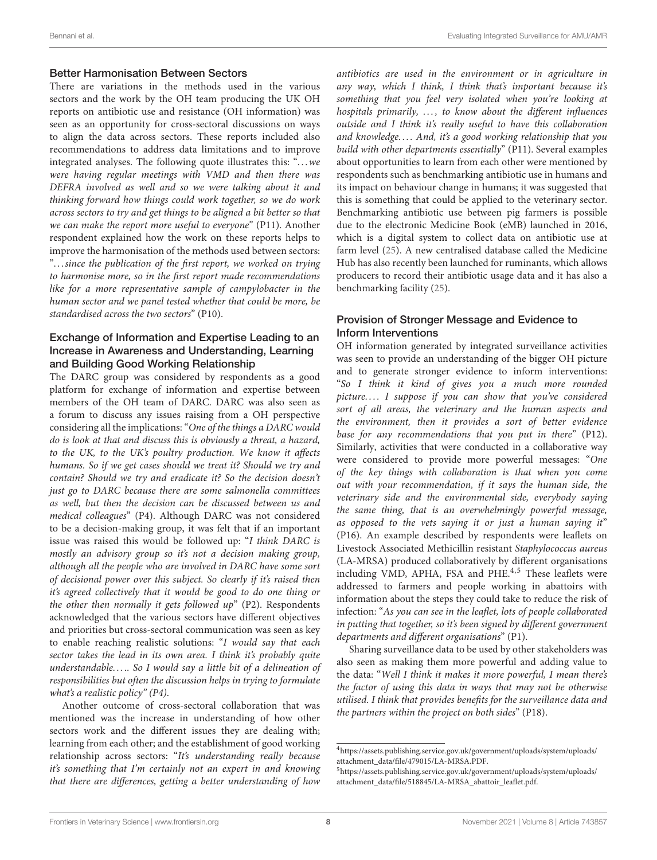#### Better Harmonisation Between Sectors

There are variations in the methods used in the various sectors and the work by the OH team producing the UK OH reports on antibiotic use and resistance (OH information) was seen as an opportunity for cross-sectoral discussions on ways to align the data across sectors. These reports included also recommendations to address data limitations and to improve integrated analyses. The following quote illustrates this: "...we were having regular meetings with VMD and then there was DEFRA involved as well and so we were talking about it and thinking forward how things could work together, so we do work across sectors to try and get things to be aligned a bit better so that we can make the report more useful to everyone" (P11). Another respondent explained how the work on these reports helps to improve the harmonisation of the methods used between sectors: ". . .since the publication of the first report, we worked on trying to harmonise more, so in the first report made recommendations like for a more representative sample of campylobacter in the human sector and we panel tested whether that could be more, be standardised across the two sectors" (P10).

#### Exchange of Information and Expertise Leading to an Increase in Awareness and Understanding, Learning and Building Good Working Relationship

The DARC group was considered by respondents as a good platform for exchange of information and expertise between members of the OH team of DARC. DARC was also seen as a forum to discuss any issues raising from a OH perspective considering all the implications: "One of the things a DARC would do is look at that and discuss this is obviously a threat, a hazard, to the UK, to the UK's poultry production. We know it affects humans. So if we get cases should we treat it? Should we try and contain? Should we try and eradicate it? So the decision doesn't just go to DARC because there are some salmonella committees as well, but then the decision can be discussed between us and medical colleagues" (P4). Although DARC was not considered to be a decision-making group, it was felt that if an important issue was raised this would be followed up: "I think DARC is mostly an advisory group so it's not a decision making group, although all the people who are involved in DARC have some sort of decisional power over this subject. So clearly if it's raised then it's agreed collectively that it would be good to do one thing or the other then normally it gets followed  $up$ " (P2). Respondents acknowledged that the various sectors have different objectives and priorities but cross-sectoral communication was seen as key to enable reaching realistic solutions: "I would say that each sector takes the lead in its own area. I think it's probably quite understandable..... So I would say a little bit of a delineation of responsibilities but often the discussion helps in trying to formulate what's a realistic policy"  $(P4)$ .

Another outcome of cross-sectoral collaboration that was mentioned was the increase in understanding of how other sectors work and the different issues they are dealing with; learning from each other; and the establishment of good working relationship across sectors: "It's understanding really because it's something that I'm certainly not an expert in and knowing that there are differences, getting a better understanding of how antibiotics are used in the environment or in agriculture in any way, which I think, I think that's important because it's something that you feel very isolated when you're looking at hospitals primarily, ..., to know about the different influences outside and I think it's really useful to have this collaboration and knowledge.... And, it's a good working relationship that you build with other departments essentially" (P11). Several examples about opportunities to learn from each other were mentioned by respondents such as benchmarking antibiotic use in humans and its impact on behaviour change in humans; it was suggested that this is something that could be applied to the veterinary sector. Benchmarking antibiotic use between pig farmers is possible due to the electronic Medicine Book (eMB) launched in 2016, which is a digital system to collect data on antibiotic use at farm level [\(25\)](#page-14-23). A new centralised database called the Medicine Hub has also recently been launched for ruminants, which allows producers to record their antibiotic usage data and it has also a benchmarking facility [\(25\)](#page-14-23).

#### Provision of Stronger Message and Evidence to Inform Interventions

OH information generated by integrated surveillance activities was seen to provide an understanding of the bigger OH picture and to generate stronger evidence to inform interventions: "So I think it kind of gives you a much more rounded picture.... I suppose if you can show that you've considered sort of all areas, the veterinary and the human aspects and the environment, then it provides a sort of better evidence base for any recommendations that you put in there" (P12). Similarly, activities that were conducted in a collaborative way were considered to provide more powerful messages: "One of the key things with collaboration is that when you come out with your recommendation, if it says the human side, the veterinary side and the environmental side, everybody saying the same thing, that is an overwhelmingly powerful message, as opposed to the vets saying it or just a human saying it" (P16). An example described by respondents were leaflets on Livestock Associated Methicillin resistant Staphylococcus aureus (LA-MRSA) produced collaboratively by different organisations including VMD, APHA, FSA and PHE. $4,5$  $4,5$  These leaflets were addressed to farmers and people working in abattoirs with information about the steps they could take to reduce the risk of infection: "As you can see in the leaflet, lots of people collaborated in putting that together, so it's been signed by different government departments and different organisations" (P1).

Sharing surveillance data to be used by other stakeholders was also seen as making them more powerful and adding value to the data: "Well I think it makes it more powerful, I mean there's the factor of using this data in ways that may not be otherwise utilised. I think that provides benefits for the surveillance data and the partners within the project on both sides" (P18).

<span id="page-7-0"></span><sup>4</sup>[https://assets.publishing.service.gov.uk/government/uploads/system/uploads/](https://assets.publishing.service.gov.uk/government/uploads/system/uploads/attachment_data/file/479015/LA-MRSA.PDF) [attachment\\_data/file/479015/LA-MRSA.PDF.](https://assets.publishing.service.gov.uk/government/uploads/system/uploads/attachment_data/file/479015/LA-MRSA.PDF)

<span id="page-7-1"></span><sup>5</sup>[https://assets.publishing.service.gov.uk/government/uploads/system/uploads/](https://assets.publishing.service.gov.uk/government/uploads/system/uploads/attachment_data/file/518845/LA-MRSA_abattoir_leaflet.pdf) [attachment\\_data/file/518845/LA-MRSA\\_abattoir\\_leaflet.pdf.](https://assets.publishing.service.gov.uk/government/uploads/system/uploads/attachment_data/file/518845/LA-MRSA_abattoir_leaflet.pdf)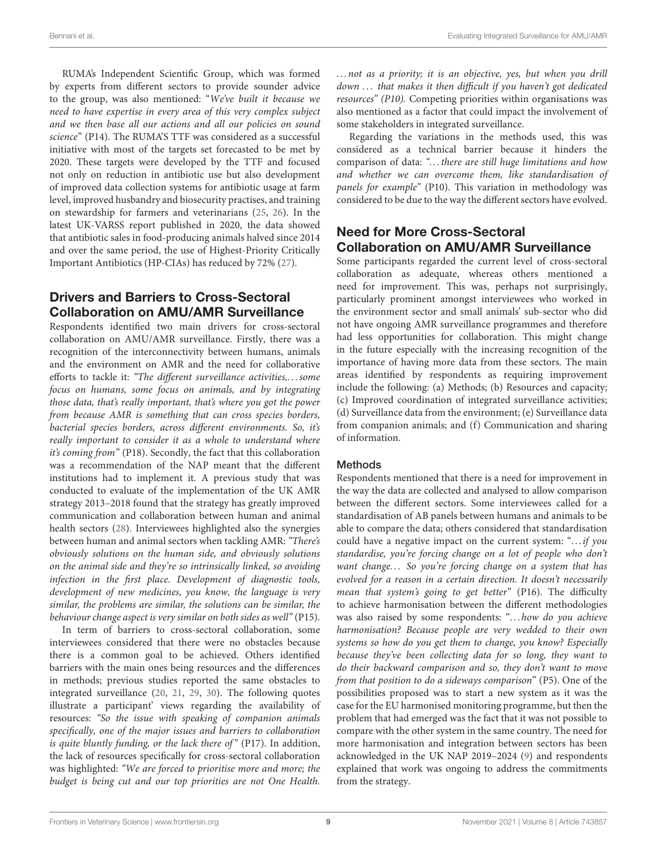RUMA's Independent Scientific Group, which was formed by experts from different sectors to provide sounder advice to the group, was also mentioned: "We've built it because we need to have expertise in every area of this very complex subject and we then base all our actions and all our policies on sound science" (P14). The RUMA'S TTF was considered as a successful initiative with most of the targets set forecasted to be met by 2020. These targets were developed by the TTF and focused not only on reduction in antibiotic use but also development of improved data collection systems for antibiotic usage at farm level, improved husbandry and biosecurity practises, and training on stewardship for farmers and veterinarians [\(25,](#page-14-23) [26\)](#page-14-24). In the latest UK-VARSS report published in 2020, the data showed that antibiotic sales in food-producing animals halved since 2014 and over the same period, the use of Highest-Priority Critically Important Antibiotics (HP-CIAs) has reduced by 72% [\(27\)](#page-14-25).

# Drivers and Barriers to Cross-Sectoral Collaboration on AMU/AMR Surveillance

Respondents identified two main drivers for cross-sectoral collaboration on AMU/AMR surveillance. Firstly, there was a recognition of the interconnectivity between humans, animals and the environment on AMR and the need for collaborative efforts to tackle it: "The different surveillance activities,. . . some focus on humans, some focus on animals, and by integrating those data, that's really important, that's where you got the power from because AMR is something that can cross species borders, bacterial species borders, across different environments. So, it's really important to consider it as a whole to understand where it's coming from" (P18). Secondly, the fact that this collaboration was a recommendation of the NAP meant that the different institutions had to implement it. A previous study that was conducted to evaluate of the implementation of the UK AMR strategy 2013–2018 found that the strategy has greatly improved communication and collaboration between human and animal health sectors [\(28\)](#page-14-26). Interviewees highlighted also the synergies between human and animal sectors when tackling AMR: "There's obviously solutions on the human side, and obviously solutions on the animal side and they're so intrinsically linked, so avoiding infection in the first place. Development of diagnostic tools, development of new medicines, you know, the language is very similar, the problems are similar, the solutions can be similar, the behaviour change aspect is very similar on both sides as well" (P15).

In term of barriers to cross-sectoral collaboration, some interviewees considered that there were no obstacles because there is a common goal to be achieved. Others identified barriers with the main ones being resources and the differences in methods; previous studies reported the same obstacles to integrated surveillance [\(20,](#page-14-18) [21,](#page-14-19) [29,](#page-14-27) [30\)](#page-14-28). The following quotes illustrate a participant' views regarding the availability of resources: "So the issue with speaking of companion animals specifically, one of the major issues and barriers to collaboration is quite bluntly funding, or the lack there of"  $(P17)$ . In addition, the lack of resources specifically for cross-sectoral collaboration was highlighted: "We are forced to prioritise more and more; the budget is being cut and our top priorities are not One Health. ... not as a priority; it is an objective, yes, but when you drill down ... that makes it then difficult if you haven't got dedicated resources" (P10). Competing priorities within organisations was also mentioned as a factor that could impact the involvement of some stakeholders in integrated surveillance.

Regarding the variations in the methods used, this was considered as a technical barrier because it hinders the comparison of data: "... there are still huge limitations and how and whether we can overcome them, like standardisation of panels for example" (P10). This variation in methodology was considered to be due to the way the different sectors have evolved.

### Need for More Cross-Sectoral Collaboration on AMU/AMR Surveillance

Some participants regarded the current level of cross-sectoral collaboration as adequate, whereas others mentioned a need for improvement. This was, perhaps not surprisingly, particularly prominent amongst interviewees who worked in the environment sector and small animals' sub-sector who did not have ongoing AMR surveillance programmes and therefore had less opportunities for collaboration. This might change in the future especially with the increasing recognition of the importance of having more data from these sectors. The main areas identified by respondents as requiring improvement include the following: (a) Methods; (b) Resources and capacity; (c) Improved coordination of integrated surveillance activities; (d) Surveillance data from the environment; (e) Surveillance data from companion animals; and (f) Communication and sharing of information.

### Methods

Respondents mentioned that there is a need for improvement in the way the data are collected and analysed to allow comparison between the different sectors. Some interviewees called for a standardisation of AB panels between humans and animals to be able to compare the data; others considered that standardisation could have a negative impact on the current system: "...if you standardise, you're forcing change on a lot of people who don't want change... So you're forcing change on a system that has evolved for a reason in a certain direction. It doesn't necessarily mean that system's going to get better" (P16). The difficulty to achieve harmonisation between the different methodologies was also raised by some respondents: "...how do you achieve harmonisation? Because people are very wedded to their own systems so how do you get them to change, you know? Especially because they've been collecting data for so long, they want to do their backward comparison and so, they don't want to move from that position to do a sideways comparison" (P5). One of the possibilities proposed was to start a new system as it was the case for the EU harmonised monitoring programme, but then the problem that had emerged was the fact that it was not possible to compare with the other system in the same country. The need for more harmonisation and integration between sectors has been acknowledged in the UK NAP 2019–2024 [\(9\)](#page-14-8) and respondents explained that work was ongoing to address the commitments from the strategy.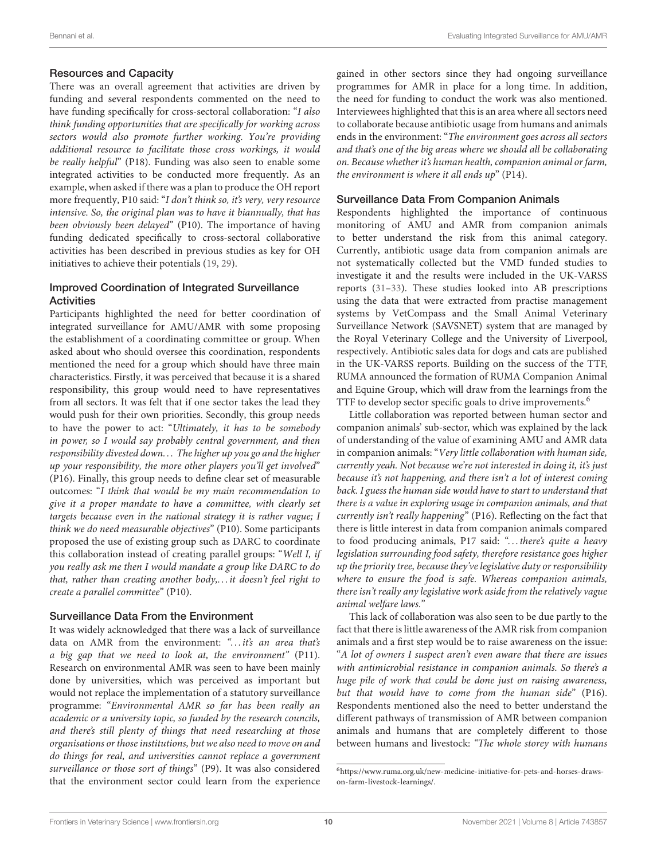#### Resources and Capacity

There was an overall agreement that activities are driven by funding and several respondents commented on the need to have funding specifically for cross-sectoral collaboration: "I also think funding opportunities that are specifically for working across sectors would also promote further working. You're providing additional resource to facilitate those cross workings, it would be really helpful" (P18). Funding was also seen to enable some integrated activities to be conducted more frequently. As an example, when asked if there was a plan to produce the OH report more frequently, P10 said: "I don't think so, it's very, very resource intensive. So, the original plan was to have it biannually, that has been obviously been delayed" (P10). The importance of having funding dedicated specifically to cross-sectoral collaborative activities has been described in previous studies as key for OH initiatives to achieve their potentials [\(19,](#page-14-17) [29\)](#page-14-27).

#### Improved Coordination of Integrated Surveillance **Activities**

Participants highlighted the need for better coordination of integrated surveillance for AMU/AMR with some proposing the establishment of a coordinating committee or group. When asked about who should oversee this coordination, respondents mentioned the need for a group which should have three main characteristics. Firstly, it was perceived that because it is a shared responsibility, this group would need to have representatives from all sectors. It was felt that if one sector takes the lead they would push for their own priorities. Secondly, this group needs to have the power to act: "Ultimately, it has to be somebody in power, so I would say probably central government, and then responsibility divested down. . . The higher up you go and the higher up your responsibility, the more other players you'll get involved" (P16). Finally, this group needs to define clear set of measurable outcomes: "I think that would be my main recommendation to give it a proper mandate to have a committee, with clearly set targets because even in the national strategy it is rather vague; I think we do need measurable objectives" (P10). Some participants proposed the use of existing group such as DARC to coordinate this collaboration instead of creating parallel groups: "Well I, if you really ask me then I would mandate a group like DARC to do that, rather than creating another body,. . . it doesn't feel right to create a parallel committee" (P10).

#### Surveillance Data From the Environment

It was widely acknowledged that there was a lack of surveillance data on AMR from the environment: "... it's an area that's a big gap that we need to look at, the environment" (P11). Research on environmental AMR was seen to have been mainly done by universities, which was perceived as important but would not replace the implementation of a statutory surveillance programme: "Environmental AMR so far has been really an academic or a university topic, so funded by the research councils, and there's still plenty of things that need researching at those organisations or those institutions, but we also need to move on and do things for real, and universities cannot replace a government surveillance or those sort of things" (P9). It was also considered that the environment sector could learn from the experience gained in other sectors since they had ongoing surveillance programmes for AMR in place for a long time. In addition, the need for funding to conduct the work was also mentioned. Interviewees highlighted that this is an area where all sectors need to collaborate because antibiotic usage from humans and animals ends in the environment: "The environment goes across all sectors and that's one of the big areas where we should all be collaborating on. Because whether it's human health, companion animal or farm, the environment is where it all ends  $up$ <sup>"</sup> (P14).

#### Surveillance Data From Companion Animals

Respondents highlighted the importance of continuous monitoring of AMU and AMR from companion animals to better understand the risk from this animal category. Currently, antibiotic usage data from companion animals are not systematically collected but the VMD funded studies to investigate it and the results were included in the UK-VARSS reports [\(31](#page-14-29)[–33\)](#page-14-30). These studies looked into AB prescriptions using the data that were extracted from practise management systems by VetCompass and the Small Animal Veterinary Surveillance Network (SAVSNET) system that are managed by the Royal Veterinary College and the University of Liverpool, respectively. Antibiotic sales data for dogs and cats are published in the UK-VARSS reports. Building on the success of the TTF, RUMA announced the formation of RUMA Companion Animal and Equine Group, which will draw from the learnings from the TTF to develop sector specific goals to drive improvements.<sup>[6](#page-9-0)</sup>

Little collaboration was reported between human sector and companion animals' sub-sector, which was explained by the lack of understanding of the value of examining AMU and AMR data in companion animals: "Very little collaboration with human side, currently yeah. Not because we're not interested in doing it, it's just because it's not happening, and there isn't a lot of interest coming back. I guess the human side would have to start to understand that there is a value in exploring usage in companion animals, and that currently isn't really happening" (P16). Reflecting on the fact that there is little interest in data from companion animals compared to food producing animals, P17 said: "... there's quite a heavy legislation surrounding food safety, therefore resistance goes higher up the priority tree, because they've legislative duty or responsibility where to ensure the food is safe. Whereas companion animals, there isn't really any legislative work aside from the relatively vague animal welfare laws."

This lack of collaboration was also seen to be due partly to the fact that there is little awareness of the AMR risk from companion animals and a first step would be to raise awareness on the issue: "A lot of owners I suspect aren't even aware that there are issues with antimicrobial resistance in companion animals. So there's a huge pile of work that could be done just on raising awareness, but that would have to come from the human side" (P16). Respondents mentioned also the need to better understand the different pathways of transmission of AMR between companion animals and humans that are completely different to those between humans and livestock: "The whole storey with humans

<span id="page-9-0"></span><sup>6</sup>[https://www.ruma.org.uk/new-medicine-initiative-for-pets-and-horses-draws](https://www.ruma.org.uk/new-medicine-initiative-for-pets-and-horses-draws-on-farm-livestock-learnings/)[on-farm-livestock-learnings/.](https://www.ruma.org.uk/new-medicine-initiative-for-pets-and-horses-draws-on-farm-livestock-learnings/)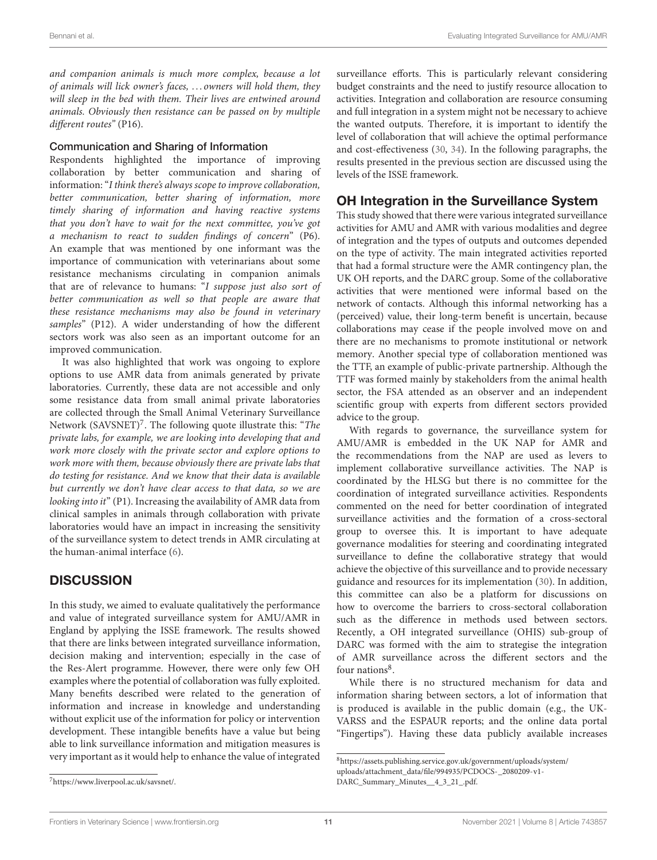and companion animals is much more complex, because a lot of animals will lick owner's faces, . . . owners will hold them, they will sleep in the bed with them. Their lives are entwined around animals. Obviously then resistance can be passed on by multiple different routes" (P16).

#### Communication and Sharing of Information

Respondents highlighted the importance of improving collaboration by better communication and sharing of information: "I think there's always scope to improve collaboration, better communication, better sharing of information, more timely sharing of information and having reactive systems that you don't have to wait for the next committee, you've got a mechanism to react to sudden findings of concern" (P6). An example that was mentioned by one informant was the importance of communication with veterinarians about some resistance mechanisms circulating in companion animals that are of relevance to humans: "I suppose just also sort of better communication as well so that people are aware that these resistance mechanisms may also be found in veterinary samples" (P12). A wider understanding of how the different sectors work was also seen as an important outcome for an improved communication.

It was also highlighted that work was ongoing to explore options to use AMR data from animals generated by private laboratories. Currently, these data are not accessible and only some resistance data from small animal private laboratories are collected through the Small Animal Veterinary Surveillance Network (SAVSNET)<sup>[7](#page-10-0)</sup>. The following quote illustrate this: "The private labs, for example, we are looking into developing that and work more closely with the private sector and explore options to work more with them, because obviously there are private labs that do testing for resistance. And we know that their data is available but currently we don't have clear access to that data, so we are looking into it" (P1). Increasing the availability of AMR data from clinical samples in animals through collaboration with private laboratories would have an impact in increasing the sensitivity of the surveillance system to detect trends in AMR circulating at the human-animal interface [\(6\)](#page-14-5).

# **DISCUSSION**

In this study, we aimed to evaluate qualitatively the performance and value of integrated surveillance system for AMU/AMR in England by applying the ISSE framework. The results showed that there are links between integrated surveillance information, decision making and intervention; especially in the case of the Res-Alert programme. However, there were only few OH examples where the potential of collaboration was fully exploited. Many benefits described were related to the generation of information and increase in knowledge and understanding without explicit use of the information for policy or intervention development. These intangible benefits have a value but being able to link surveillance information and mitigation measures is very important as it would help to enhance the value of integrated

surveillance efforts. This is particularly relevant considering budget constraints and the need to justify resource allocation to activities. Integration and collaboration are resource consuming and full integration in a system might not be necessary to achieve the wanted outputs. Therefore, it is important to identify the level of collaboration that will achieve the optimal performance and cost-effectiveness [\(30,](#page-14-28) [34\)](#page-14-31). In the following paragraphs, the results presented in the previous section are discussed using the levels of the ISSE framework.

### OH Integration in the Surveillance System

This study showed that there were various integrated surveillance activities for AMU and AMR with various modalities and degree of integration and the types of outputs and outcomes depended on the type of activity. The main integrated activities reported that had a formal structure were the AMR contingency plan, the UK OH reports, and the DARC group. Some of the collaborative activities that were mentioned were informal based on the network of contacts. Although this informal networking has a (perceived) value, their long-term benefit is uncertain, because collaborations may cease if the people involved move on and there are no mechanisms to promote institutional or network memory. Another special type of collaboration mentioned was the TTF, an example of public-private partnership. Although the TTF was formed mainly by stakeholders from the animal health sector, the FSA attended as an observer and an independent scientific group with experts from different sectors provided advice to the group.

With regards to governance, the surveillance system for AMU/AMR is embedded in the UK NAP for AMR and the recommendations from the NAP are used as levers to implement collaborative surveillance activities. The NAP is coordinated by the HLSG but there is no committee for the coordination of integrated surveillance activities. Respondents commented on the need for better coordination of integrated surveillance activities and the formation of a cross-sectoral group to oversee this. It is important to have adequate governance modalities for steering and coordinating integrated surveillance to define the collaborative strategy that would achieve the objective of this surveillance and to provide necessary guidance and resources for its implementation [\(30\)](#page-14-28). In addition, this committee can also be a platform for discussions on how to overcome the barriers to cross-sectoral collaboration such as the difference in methods used between sectors. Recently, a OH integrated surveillance (OHIS) sub-group of DARC was formed with the aim to strategise the integration of AMR surveillance across the different sectors and the four nations<sup>[8](#page-10-1)</sup>.

While there is no structured mechanism for data and information sharing between sectors, a lot of information that is produced is available in the public domain (e.g., the UK-VARSS and the ESPAUR reports; and the online data portal "Fingertips"). Having these data publicly available increases

<span id="page-10-0"></span><sup>7</sup>[https://www.liverpool.ac.uk/savsnet/.](https://www.liverpool.ac.uk/savsnet/)

<span id="page-10-1"></span><sup>8</sup>[https://assets.publishing.service.gov.uk/government/uploads/system/](https://assets.publishing.service.gov.uk/government/uploads/system/uploads/attachment_data/file/994935/PCDOCS-_2080209-v1-DARC_Summary_Minutes__4_3_21_.pdf) [uploads/attachment\\_data/file/994935/PCDOCS-\\_2080209-v1-](https://assets.publishing.service.gov.uk/government/uploads/system/uploads/attachment_data/file/994935/PCDOCS-_2080209-v1-DARC_Summary_Minutes__4_3_21_.pdf) [DARC\\_Summary\\_Minutes\\_\\_4\\_3\\_21\\_.pdf.](https://assets.publishing.service.gov.uk/government/uploads/system/uploads/attachment_data/file/994935/PCDOCS-_2080209-v1-DARC_Summary_Minutes__4_3_21_.pdf)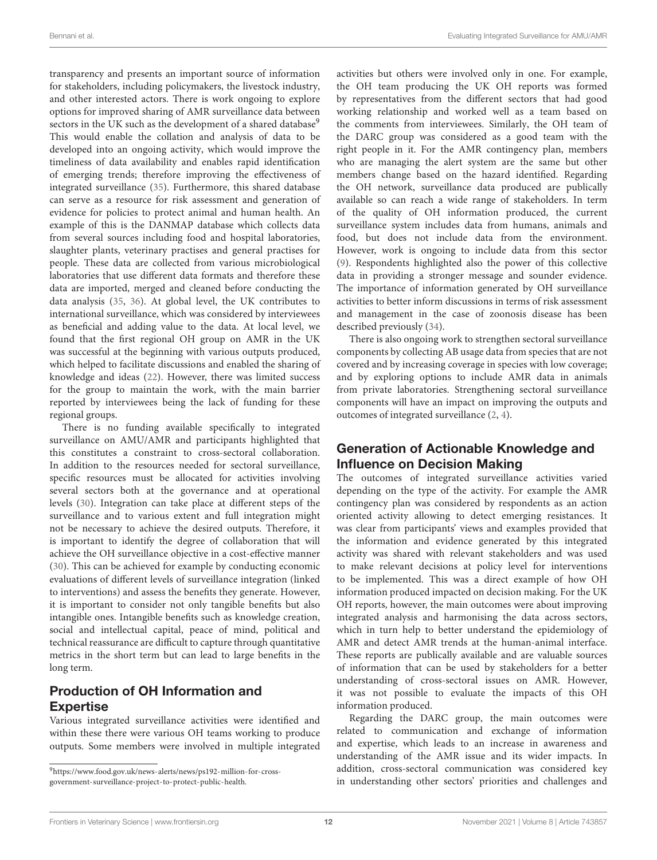transparency and presents an important source of information for stakeholders, including policymakers, the livestock industry, and other interested actors. There is work ongoing to explore options for improved sharing of AMR surveillance data between sectors in the UK such as the development of a shared database<sup>[9](#page-11-0)</sup> This would enable the collation and analysis of data to be developed into an ongoing activity, which would improve the timeliness of data availability and enables rapid identification of emerging trends; therefore improving the effectiveness of integrated surveillance [\(35\)](#page-14-32). Furthermore, this shared database can serve as a resource for risk assessment and generation of evidence for policies to protect animal and human health. An example of this is the DANMAP database which collects data from several sources including food and hospital laboratories, slaughter plants, veterinary practises and general practises for people. These data are collected from various microbiological laboratories that use different data formats and therefore these data are imported, merged and cleaned before conducting the data analysis [\(35,](#page-14-32) [36\)](#page-14-33). At global level, the UK contributes to international surveillance, which was considered by interviewees as beneficial and adding value to the data. At local level, we found that the first regional OH group on AMR in the UK was successful at the beginning with various outputs produced, which helped to facilitate discussions and enabled the sharing of knowledge and ideas [\(22\)](#page-14-20). However, there was limited success for the group to maintain the work, with the main barrier reported by interviewees being the lack of funding for these regional groups.

There is no funding available specifically to integrated surveillance on AMU/AMR and participants highlighted that this constitutes a constraint to cross-sectoral collaboration. In addition to the resources needed for sectoral surveillance, specific resources must be allocated for activities involving several sectors both at the governance and at operational levels [\(30\)](#page-14-28). Integration can take place at different steps of the surveillance and to various extent and full integration might not be necessary to achieve the desired outputs. Therefore, it is important to identify the degree of collaboration that will achieve the OH surveillance objective in a cost-effective manner [\(30\)](#page-14-28). This can be achieved for example by conducting economic evaluations of different levels of surveillance integration (linked to interventions) and assess the benefits they generate. However, it is important to consider not only tangible benefits but also intangible ones. Intangible benefits such as knowledge creation, social and intellectual capital, peace of mind, political and technical reassurance are difficult to capture through quantitative metrics in the short term but can lead to large benefits in the long term.

# Production of OH Information and **Expertise**

Various integrated surveillance activities were identified and within these there were various OH teams working to produce outputs. Some members were involved in multiple integrated activities but others were involved only in one. For example, the OH team producing the UK OH reports was formed by representatives from the different sectors that had good working relationship and worked well as a team based on the comments from interviewees. Similarly, the OH team of the DARC group was considered as a good team with the right people in it. For the AMR contingency plan, members who are managing the alert system are the same but other members change based on the hazard identified. Regarding the OH network, surveillance data produced are publically available so can reach a wide range of stakeholders. In term of the quality of OH information produced, the current surveillance system includes data from humans, animals and food, but does not include data from the environment. However, work is ongoing to include data from this sector [\(9\)](#page-14-8). Respondents highlighted also the power of this collective data in providing a stronger message and sounder evidence. The importance of information generated by OH surveillance activities to better inform discussions in terms of risk assessment and management in the case of zoonosis disease has been described previously [\(34\)](#page-14-31).

There is also ongoing work to strengthen sectoral surveillance components by collecting AB usage data from species that are not covered and by increasing coverage in species with low coverage; and by exploring options to include AMR data in animals from private laboratories. Strengthening sectoral surveillance components will have an impact on improving the outputs and outcomes of integrated surveillance [\(2,](#page-14-1) [4\)](#page-14-3).

### Generation of Actionable Knowledge and Influence on Decision Making

The outcomes of integrated surveillance activities varied depending on the type of the activity. For example the AMR contingency plan was considered by respondents as an action oriented activity allowing to detect emerging resistances. It was clear from participants' views and examples provided that the information and evidence generated by this integrated activity was shared with relevant stakeholders and was used to make relevant decisions at policy level for interventions to be implemented. This was a direct example of how OH information produced impacted on decision making. For the UK OH reports, however, the main outcomes were about improving integrated analysis and harmonising the data across sectors, which in turn help to better understand the epidemiology of AMR and detect AMR trends at the human-animal interface. These reports are publically available and are valuable sources of information that can be used by stakeholders for a better understanding of cross-sectoral issues on AMR. However, it was not possible to evaluate the impacts of this OH information produced.

Regarding the DARC group, the main outcomes were related to communication and exchange of information and expertise, which leads to an increase in awareness and understanding of the AMR issue and its wider impacts. In addition, cross-sectoral communication was considered key in understanding other sectors' priorities and challenges and

<span id="page-11-0"></span><sup>9</sup>[https://www.food.gov.uk/news-alerts/news/ps192-million-for-cross](https://www.food.gov.uk/news-alerts/news/ps192-million-for-cross-government-surveillance-project-to-protect-public-health)[government-surveillance-project-to-protect-public-health.](https://www.food.gov.uk/news-alerts/news/ps192-million-for-cross-government-surveillance-project-to-protect-public-health)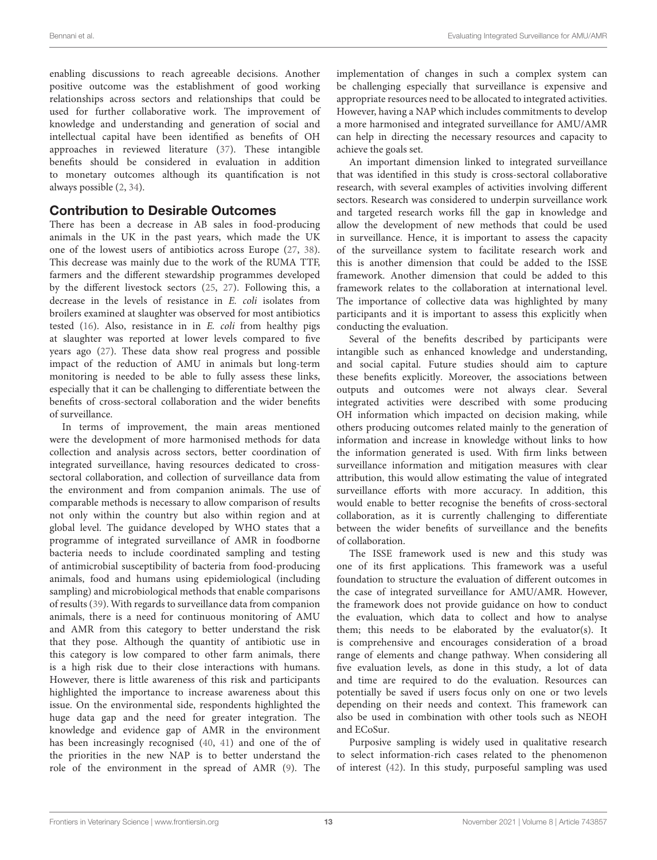enabling discussions to reach agreeable decisions. Another positive outcome was the establishment of good working relationships across sectors and relationships that could be used for further collaborative work. The improvement of knowledge and understanding and generation of social and intellectual capital have been identified as benefits of OH approaches in reviewed literature [\(37\)](#page-14-34). These intangible benefits should be considered in evaluation in addition to monetary outcomes although its quantification is not always possible [\(2,](#page-14-1) [34\)](#page-14-31).

### Contribution to Desirable Outcomes

There has been a decrease in AB sales in food-producing animals in the UK in the past years, which made the UK one of the lowest users of antibiotics across Europe [\(27,](#page-14-25) [38\)](#page-14-35). This decrease was mainly due to the work of the RUMA TTF, farmers and the different stewardship programmes developed by the different livestock sectors [\(25,](#page-14-23) [27\)](#page-14-25). Following this, a decrease in the levels of resistance in E. coli isolates from broilers examined at slaughter was observed for most antibiotics tested [\(16\)](#page-14-15). Also, resistance in in E. coli from healthy pigs at slaughter was reported at lower levels compared to five years ago [\(27\)](#page-14-25). These data show real progress and possible impact of the reduction of AMU in animals but long-term monitoring is needed to be able to fully assess these links, especially that it can be challenging to differentiate between the benefits of cross-sectoral collaboration and the wider benefits of surveillance.

In terms of improvement, the main areas mentioned were the development of more harmonised methods for data collection and analysis across sectors, better coordination of integrated surveillance, having resources dedicated to crosssectoral collaboration, and collection of surveillance data from the environment and from companion animals. The use of comparable methods is necessary to allow comparison of results not only within the country but also within region and at global level. The guidance developed by WHO states that a programme of integrated surveillance of AMR in foodborne bacteria needs to include coordinated sampling and testing of antimicrobial susceptibility of bacteria from food-producing animals, food and humans using epidemiological (including sampling) and microbiological methods that enable comparisons of results [\(39\)](#page-14-36). With regards to surveillance data from companion animals, there is a need for continuous monitoring of AMU and AMR from this category to better understand the risk that they pose. Although the quantity of antibiotic use in this category is low compared to other farm animals, there is a high risk due to their close interactions with humans. However, there is little awareness of this risk and participants highlighted the importance to increase awareness about this issue. On the environmental side, respondents highlighted the huge data gap and the need for greater integration. The knowledge and evidence gap of AMR in the environment has been increasingly recognised [\(40,](#page-15-0) [41\)](#page-15-1) and one of the of the priorities in the new NAP is to better understand the role of the environment in the spread of AMR [\(9\)](#page-14-8). The implementation of changes in such a complex system can be challenging especially that surveillance is expensive and appropriate resources need to be allocated to integrated activities. However, having a NAP which includes commitments to develop a more harmonised and integrated surveillance for AMU/AMR can help in directing the necessary resources and capacity to achieve the goals set.

An important dimension linked to integrated surveillance that was identified in this study is cross-sectoral collaborative research, with several examples of activities involving different sectors. Research was considered to underpin surveillance work and targeted research works fill the gap in knowledge and allow the development of new methods that could be used in surveillance. Hence, it is important to assess the capacity of the surveillance system to facilitate research work and this is another dimension that could be added to the ISSE framework. Another dimension that could be added to this framework relates to the collaboration at international level. The importance of collective data was highlighted by many participants and it is important to assess this explicitly when conducting the evaluation.

Several of the benefits described by participants were intangible such as enhanced knowledge and understanding, and social capital. Future studies should aim to capture these benefits explicitly. Moreover, the associations between outputs and outcomes were not always clear. Several integrated activities were described with some producing OH information which impacted on decision making, while others producing outcomes related mainly to the generation of information and increase in knowledge without links to how the information generated is used. With firm links between surveillance information and mitigation measures with clear attribution, this would allow estimating the value of integrated surveillance efforts with more accuracy. In addition, this would enable to better recognise the benefits of cross-sectoral collaboration, as it is currently challenging to differentiate between the wider benefits of surveillance and the benefits of collaboration.

The ISSE framework used is new and this study was one of its first applications. This framework was a useful foundation to structure the evaluation of different outcomes in the case of integrated surveillance for AMU/AMR. However, the framework does not provide guidance on how to conduct the evaluation, which data to collect and how to analyse them; this needs to be elaborated by the evaluator(s). It is comprehensive and encourages consideration of a broad range of elements and change pathway. When considering all five evaluation levels, as done in this study, a lot of data and time are required to do the evaluation. Resources can potentially be saved if users focus only on one or two levels depending on their needs and context. This framework can also be used in combination with other tools such as NEOH and ECoSur.

Purposive sampling is widely used in qualitative research to select information-rich cases related to the phenomenon of interest [\(42\)](#page-15-2). In this study, purposeful sampling was used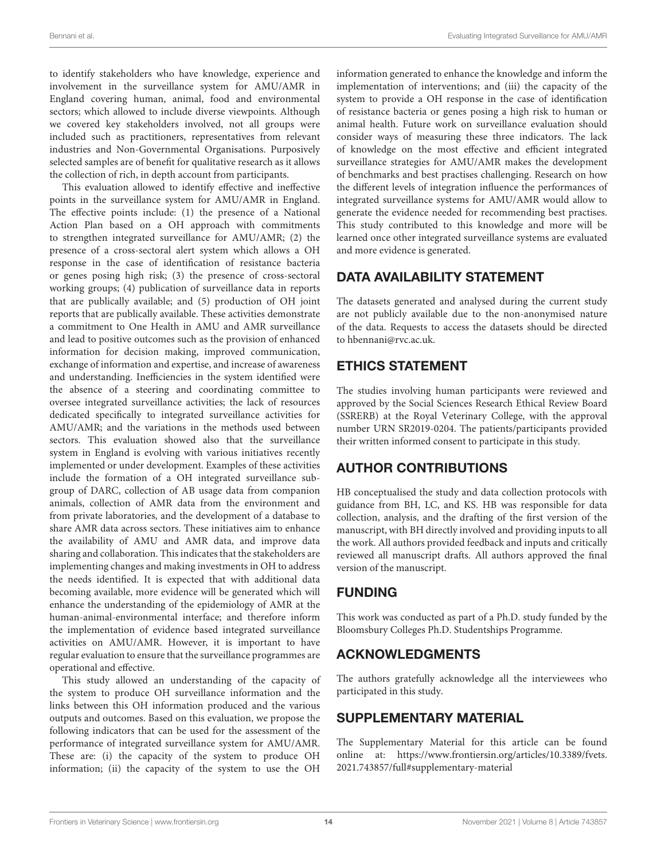to identify stakeholders who have knowledge, experience and involvement in the surveillance system for AMU/AMR in England covering human, animal, food and environmental sectors; which allowed to include diverse viewpoints. Although we covered key stakeholders involved, not all groups were included such as practitioners, representatives from relevant industries and Non-Governmental Organisations. Purposively selected samples are of benefit for qualitative research as it allows the collection of rich, in depth account from participants.

This evaluation allowed to identify effective and ineffective points in the surveillance system for AMU/AMR in England. The effective points include: (1) the presence of a National Action Plan based on a OH approach with commitments to strengthen integrated surveillance for AMU/AMR; (2) the presence of a cross-sectoral alert system which allows a OH response in the case of identification of resistance bacteria or genes posing high risk; (3) the presence of cross-sectoral working groups; (4) publication of surveillance data in reports that are publically available; and (5) production of OH joint reports that are publically available. These activities demonstrate a commitment to One Health in AMU and AMR surveillance and lead to positive outcomes such as the provision of enhanced information for decision making, improved communication, exchange of information and expertise, and increase of awareness and understanding. Inefficiencies in the system identified were the absence of a steering and coordinating committee to oversee integrated surveillance activities; the lack of resources dedicated specifically to integrated surveillance activities for AMU/AMR; and the variations in the methods used between sectors. This evaluation showed also that the surveillance system in England is evolving with various initiatives recently implemented or under development. Examples of these activities include the formation of a OH integrated surveillance subgroup of DARC, collection of AB usage data from companion animals, collection of AMR data from the environment and from private laboratories, and the development of a database to share AMR data across sectors. These initiatives aim to enhance the availability of AMU and AMR data, and improve data sharing and collaboration. This indicates that the stakeholders are implementing changes and making investments in OH to address the needs identified. It is expected that with additional data becoming available, more evidence will be generated which will enhance the understanding of the epidemiology of AMR at the human-animal-environmental interface; and therefore inform the implementation of evidence based integrated surveillance activities on AMU/AMR. However, it is important to have regular evaluation to ensure that the surveillance programmes are operational and effective.

This study allowed an understanding of the capacity of the system to produce OH surveillance information and the links between this OH information produced and the various outputs and outcomes. Based on this evaluation, we propose the following indicators that can be used for the assessment of the performance of integrated surveillance system for AMU/AMR. These are: (i) the capacity of the system to produce OH information; (ii) the capacity of the system to use the OH information generated to enhance the knowledge and inform the implementation of interventions; and (iii) the capacity of the system to provide a OH response in the case of identification of resistance bacteria or genes posing a high risk to human or animal health. Future work on surveillance evaluation should consider ways of measuring these three indicators. The lack of knowledge on the most effective and efficient integrated surveillance strategies for AMU/AMR makes the development of benchmarks and best practises challenging. Research on how the different levels of integration influence the performances of integrated surveillance systems for AMU/AMR would allow to generate the evidence needed for recommending best practises. This study contributed to this knowledge and more will be learned once other integrated surveillance systems are evaluated and more evidence is generated.

# DATA AVAILABILITY STATEMENT

The datasets generated and analysed during the current study are not publicly available due to the non-anonymised nature of the data. Requests to access the datasets should be directed to [hbennani@rvc.ac.uk.](mailto:hbennani@rvc.ac.uk)

# ETHICS STATEMENT

The studies involving human participants were reviewed and approved by the Social Sciences Research Ethical Review Board (SSRERB) at the Royal Veterinary College, with the approval number URN SR2019-0204. The patients/participants provided their written informed consent to participate in this study.

# AUTHOR CONTRIBUTIONS

HB conceptualised the study and data collection protocols with guidance from BH, LC, and KS. HB was responsible for data collection, analysis, and the drafting of the first version of the manuscript, with BH directly involved and providing inputs to all the work. All authors provided feedback and inputs and critically reviewed all manuscript drafts. All authors approved the final version of the manuscript.

# FUNDING

This work was conducted as part of a Ph.D. study funded by the Bloomsbury Colleges Ph.D. Studentships Programme.

# ACKNOWLEDGMENTS

The authors gratefully acknowledge all the interviewees who participated in this study.

# SUPPLEMENTARY MATERIAL

<span id="page-13-0"></span>The Supplementary Material for this article can be found [online at: https://www.frontiersin.org/articles/10.3389/fvets.](https://www.frontiersin.org/articles/10.3389/fvets.2021.743857/full#supplementary-material) 2021.743857/full#supplementary-material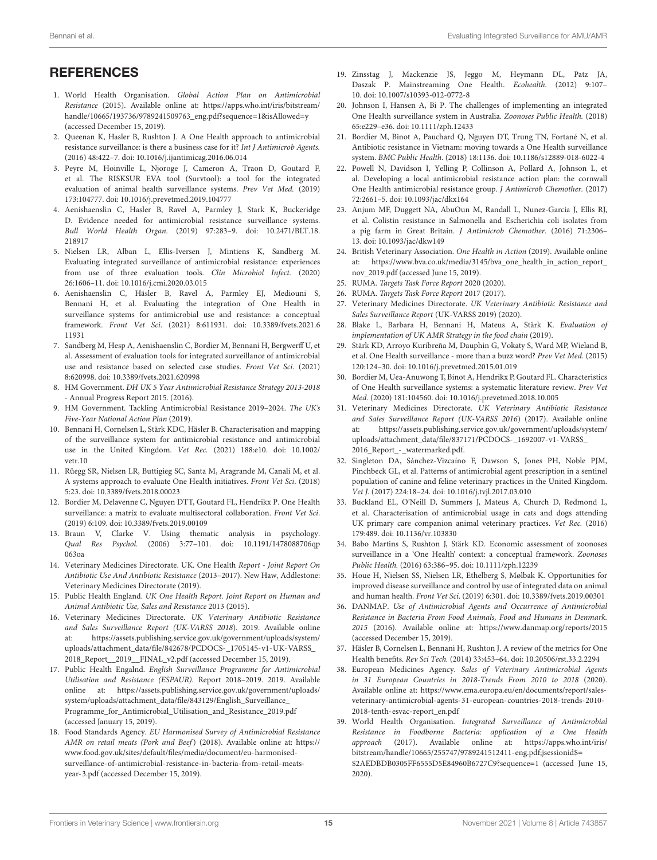### **REFERENCES**

- <span id="page-14-0"></span>1. World Health Organisation. Global Action Plan on Antimicrobial Resistance (2015). Available online at: [https://apps.who.int/iris/bitstream/](https://apps.who.int/iris/bitstream/handle/10665/193736/9789241509763_eng.pdf?sequence=1&isAllowed=y) [handle/10665/193736/9789241509763\\_eng.pdf?sequence=1&isAllowed=y](https://apps.who.int/iris/bitstream/handle/10665/193736/9789241509763_eng.pdf?sequence=1&isAllowed=y) (accessed December 15, 2019).
- <span id="page-14-1"></span>2. Queenan K, Hasler B, Rushton J. A One Health approach to antimicrobial resistance surveillance: is there a business case for it? Int J Antimicrob Agents. (2016) 48:422–7. doi: [10.1016/j.ijantimicag.2016.06.014](https://doi.org/10.1016/j.ijantimicag.2016.06.014)
- <span id="page-14-2"></span>3. Peyre M, Hoinville L, Njoroge J, Cameron A, Traon D, Goutard F, et al. The RISKSUR EVA tool (Survtool): a tool for the integrated evaluation of animal health surveillance systems. Prev Vet Med. (2019) 173:104777. doi: [10.1016/j.prevetmed.2019.104777](https://doi.org/10.1016/j.prevetmed.2019.104777)
- <span id="page-14-3"></span>4. Aenishaenslin C, Hasler B, Ravel A, Parmley J, Stark K, Buckeridge D. Evidence needed for antimicrobial resistance surveillance systems. Bull World Health Organ. [\(2019\) 97:283–9. doi: 10.2471/BLT.18.](https://doi.org/10.2471/BLT.18.218917) 218917
- <span id="page-14-4"></span>5. Nielsen LR, Alban L, Ellis-Iversen J, Mintiens K, Sandberg M. Evaluating integrated surveillance of antimicrobial resistance: experiences from use of three evaluation tools. Clin Microbiol Infect. (2020) 26:1606–11. doi: [10.1016/j.cmi.2020.03.015](https://doi.org/10.1016/j.cmi.2020.03.015)
- <span id="page-14-5"></span>6. Aenishaenslin C, Häsler B, Ravel A, Parmley EJ, Mediouni S, Bennani H, et al. Evaluating the integration of One Health in surveillance systems for antimicrobial use and resistance: a conceptual framework. Front Vet Sci[. \(2021\) 8:611931. doi: 10.3389/fvets.2021.6](https://doi.org/10.3389/fvets.2021.611931) 11931
- <span id="page-14-6"></span>7. Sandberg M, Hesp A, Aenishaenslin C, Bordier M, Bennani H, Bergwerff U, et al. Assessment of evaluation tools for integrated surveillance of antimicrobial use and resistance based on selected case studies. Front Vet Sci. (2021) 8:620998. doi: [10.3389/fvets.2021.620998](https://doi.org/10.3389/fvets.2021.620998)
- <span id="page-14-7"></span>8. HM Government. DH UK 5 Year Antimicrobial Resistance Strategy 2013-2018 - Annual Progress Report 2015. (2016).
- <span id="page-14-8"></span>9. HM Government. Tackling Antimicrobial Resistance 2019–2024. The UK's Five-Year National Action Plan (2019).
- <span id="page-14-9"></span>10. Bennani H, Cornelsen L, Stärk KDC, Häsler B. Characterisation and mapping of the surveillance system for antimicrobial resistance and antimicrobial [use in the United Kingdom.](https://doi.org/10.1002/vetr.10) Vet Rec. (2021) 188:e10. doi: 10.1002/ vetr.10
- <span id="page-14-10"></span>11. Rüegg SR, Nielsen LR, Buttigieg SC, Santa M, Aragrande M, Canali M, et al. A systems approach to evaluate One Health initiatives. Front Vet Sci. (2018) 5:23. doi: [10.3389/fvets.2018.00023](https://doi.org/10.3389/fvets.2018.00023)
- <span id="page-14-11"></span>12. Bordier M, Delavenne C, Nguyen DTT, Goutard FL, Hendrikx P. One Health surveillance: a matrix to evaluate multisectoral collaboration. Front Vet Sci. (2019) 6:109. doi: [10.3389/fvets.2019.00109](https://doi.org/10.3389/fvets.2019.00109)
- <span id="page-14-12"></span>13. Braun V, Clarke V. Using thematic analysis in psychology. Qual Res Psychol. [\(2006\) 3:77–101. doi: 10.1191/1478088706qp](https://doi.org/10.1191/1478088706qp063oa) 063oa
- <span id="page-14-13"></span>14. Veterinary Medicines Directorate. UK. One Health Report - Joint Report On Antibiotic Use And Antibiotic Resistance (2013–2017). New Haw, Addlestone: Veterinary Medicines Directorate (2019).
- <span id="page-14-14"></span>15. Public Health England. UK One Health Report. Joint Report on Human and Animal Antibiotic Use, Sales and Resistance 2013 (2015).
- <span id="page-14-15"></span>16. Veterinary Medicines Directorate. UK Veterinary Antibiotic Resistance and Sales Surveillance Report (UK-VARSS 2018). 2019. Available online at: [https://assets.publishing.service.gov.uk/government/uploads/system/](https://assets.publishing.service.gov.uk/government/uploads/system/uploads/attachment_data/file/842678/PCDOCS-_1705145-v1-UK-VARSS_2018_Report__2019__FINAL_v2.pdf) [uploads/attachment\\_data/file/842678/PCDOCS-\\_1705145-v1-UK-VARSS\\_](https://assets.publishing.service.gov.uk/government/uploads/system/uploads/attachment_data/file/842678/PCDOCS-_1705145-v1-UK-VARSS_2018_Report__2019__FINAL_v2.pdf) [2018\\_Report\\_\\_2019\\_\\_FINAL\\_v2.pdf](https://assets.publishing.service.gov.uk/government/uploads/system/uploads/attachment_data/file/842678/PCDOCS-_1705145-v1-UK-VARSS_2018_Report__2019__FINAL_v2.pdf) (accessed December 15, 2019).
- 17. Public Health Engalnd. English Surveillance Programme for Antimicrobial Utilisation and Resistance (ESPAUR). Report 2018–2019. 2019. Available online at: [https://assets.publishing.service.gov.uk/government/uploads/](https://assets.publishing.service.gov.uk/government/uploads/system/uploads/attachment_data/file/843129/English_Surveillance_Programme_for_Antimicrobial_Utilisation_and_Resistance_2019.pdf) [system/uploads/attachment\\_data/file/843129/English\\_Surveillance\\_](https://assets.publishing.service.gov.uk/government/uploads/system/uploads/attachment_data/file/843129/English_Surveillance_Programme_for_Antimicrobial_Utilisation_and_Resistance_2019.pdf) Programme for Antimicrobial Utilisation and Resistance 2019.pdf (accessed January 15, 2019).
- <span id="page-14-16"></span>18. Food Standards Agency. EU Harmonised Survey of Antimicrobial Resistance AMR on retail meats (Pork and Beef) (2018). Available online at: [https://](https://www.food.gov.uk/sites/default/files/media/document/eu-harmonised-surveillance-of-antimicrobial-resistance-in-bacteria-from-retail-meats-year-3.pdf) [www.food.gov.uk/sites/default/files/media/document/eu-harmonised](https://www.food.gov.uk/sites/default/files/media/document/eu-harmonised-surveillance-of-antimicrobial-resistance-in-bacteria-from-retail-meats-year-3.pdf)[surveillance-of-antimicrobial-resistance-in-bacteria-from-retail-meats](https://www.food.gov.uk/sites/default/files/media/document/eu-harmonised-surveillance-of-antimicrobial-resistance-in-bacteria-from-retail-meats-year-3.pdf)[year-3.pdf](https://www.food.gov.uk/sites/default/files/media/document/eu-harmonised-surveillance-of-antimicrobial-resistance-in-bacteria-from-retail-meats-year-3.pdf) (accessed December 15, 2019).
- <span id="page-14-17"></span>19. Zinsstag J, Mackenzie JS, Jeggo M, Heymann DL, Patz JA, Daszak P. Mainstreaming One Health. Ecohealth. (2012) 9:107– 10. doi: [10.1007/s10393-012-0772-8](https://doi.org/10.1007/s10393-012-0772-8)
- <span id="page-14-18"></span>20. Johnson I, Hansen A, Bi P. The challenges of implementing an integrated One Health surveillance system in Australia. Zoonoses Public Health. (2018) 65:e229–e36. doi: [10.1111/zph.12433](https://doi.org/10.1111/zph.12433)
- <span id="page-14-19"></span>21. Bordier M, Binot A, Pauchard Q, Nguyen DT, Trung TN, Fortané N, et al. Antibiotic resistance in Vietnam: moving towards a One Health surveillance system. BMC Public Health. (2018) 18:1136. doi: [10.1186/s12889-018-6022-4](https://doi.org/10.1186/s12889-018-6022-4)
- <span id="page-14-20"></span>22. Powell N, Davidson I, Yelling P, Collinson A, Pollard A, Johnson L, et al. Developing a local antimicrobial resistance action plan: the cornwall One Health antimicrobial resistance group. J Antimicrob Chemother. (2017) 72:2661–5. doi: [10.1093/jac/dkx164](https://doi.org/10.1093/jac/dkx164)
- <span id="page-14-21"></span>23. Anjum MF, Duggett NA, AbuOun M, Randall L, Nunez-Garcia J, Ellis RJ, et al. Colistin resistance in Salmonella and Escherichia coli isolates from a pig farm in Great Britain. J Antimicrob Chemother. (2016) 71:2306– 13. doi: [10.1093/jac/dkw149](https://doi.org/10.1093/jac/dkw149)
- <span id="page-14-22"></span>24. British Veterinary Association. One Health in Action (2019). Available online at: [https://www.bva.co.uk/media/3145/bva\\_one\\_health\\_in\\_action\\_report\\_](https://www.bva.co.uk/media/3145/bva_one_health_in_action_report_nov_2019.pdf) [nov\\_2019.pdf](https://www.bva.co.uk/media/3145/bva_one_health_in_action_report_nov_2019.pdf) (accessed June 15, 2019).
- <span id="page-14-23"></span>25. RUMA. Targets Task Force Report 2020 (2020).
- <span id="page-14-24"></span>26. RUMA. Targets Task Force Report 2017 (2017).
- <span id="page-14-25"></span>27. Veterinary Medicines Directorate. UK Veterinary Antibiotic Resistance and Sales Surveillance Report (UK-VARSS 2019) (2020).
- <span id="page-14-26"></span>28. Blake L, Barbara H, Bennani H, Mateus A, Stärk K. Evaluation of implementation of UK AMR Strategy in the food chain (2019).
- <span id="page-14-27"></span>29. Stärk KD, Arroyo Kuribreña M, Dauphin G, Vokaty S, Ward MP, Wieland B, et al. One Health surveillance - more than a buzz word? Prev Vet Med. (2015) 120:124–30. doi: [10.1016/j.prevetmed.2015.01.019](https://doi.org/10.1016/j.prevetmed.2015.01.019)
- <span id="page-14-28"></span>30. Bordier M, Uea-Anuwong T, Binot A, Hendrikx P, Goutard FL. Characteristics of One Health surveillance systems: a systematic literature review. Prev Vet Med. (2020) 181:104560. doi: [10.1016/j.prevetmed.2018.10.005](https://doi.org/10.1016/j.prevetmed.2018.10.005)
- <span id="page-14-29"></span>31. Veterinary Medicines Directorate. UK Veterinary Antibiotic Resistance and Sales Surveillance Report (UK-VARSS 2016) (2017). Available online at: [https://assets.publishing.service.gov.uk/government/uploads/system/](https://assets.publishing.service.gov.uk/government/uploads/system/uploads/attachment_data/file/837171/PCDOCS-_1692007-v1-VARSS_2016_Report_-_watermarked.pdf) [uploads/attachment\\_data/file/837171/PCDOCS-\\_1692007-v1-VARSS\\_](https://assets.publishing.service.gov.uk/government/uploads/system/uploads/attachment_data/file/837171/PCDOCS-_1692007-v1-VARSS_2016_Report_-_watermarked.pdf) [2016\\_Report\\_-\\_watermarked.pdf.](https://assets.publishing.service.gov.uk/government/uploads/system/uploads/attachment_data/file/837171/PCDOCS-_1692007-v1-VARSS_2016_Report_-_watermarked.pdf)
- 32. Singleton DA, Sánchez-Vizcaíno F, Dawson S, Jones PH, Noble PJM, Pinchbeck GL, et al. Patterns of antimicrobial agent prescription in a sentinel population of canine and feline veterinary practices in the United Kingdom. Vet J. (2017) 224:18–24. doi: [10.1016/j.tvjl.2017.03.010](https://doi.org/10.1016/j.tvjl.2017.03.010)
- <span id="page-14-30"></span>33. Buckland EL, O'Neill D, Summers J, Mateus A, Church D, Redmond L, et al. Characterisation of antimicrobial usage in cats and dogs attending UK primary care companion animal veterinary practices. Vet Rec. (2016) 179:489. doi: [10.1136/vr.103830](https://doi.org/10.1136/vr.103830)
- <span id="page-14-31"></span>34. Babo Martins S, Rushton J, Stärk KD. Economic assessment of zoonoses surveillance in a 'One Health' context: a conceptual framework. Zoonoses Public Health. (2016) 63:386–95. doi: [10.1111/zph.12239](https://doi.org/10.1111/zph.12239)
- <span id="page-14-32"></span>35. Houe H, Nielsen SS, Nielsen LR, Ethelberg S, Mølbak K. Opportunities for improved disease surveillance and control by use of integrated data on animal and human health. Front Vet Sci. (2019) 6:301. doi: [10.3389/fvets.2019.00301](https://doi.org/10.3389/fvets.2019.00301)
- <span id="page-14-33"></span>36. DANMAP. Use of Antimicrobial Agents and Occurrence of Antimicrobial Resistance in Bacteria From Food Animals, Food and Humans in Denmark. 2015 (2016). Available online at:<https://www.danmap.org/reports/2015> (accessed December 15, 2019).
- <span id="page-14-34"></span>37. Häsler B, Cornelsen L, Bennani H, Rushton J. A review of the metrics for One Health benefits. Rev Sci Tech. (2014) 33:453–64. doi: [10.20506/rst.33.2.2294](https://doi.org/10.20506/rst.33.2.2294)
- <span id="page-14-35"></span>38. European Medicines Agency. Sales of Veterinary Antimicrobial Agents in 31 European Countries in 2018-Trends From 2010 to 2018 (2020). Available online at: [https://www.ema.europa.eu/en/documents/report/sales](https://www.ema.europa.eu/en/documents/report/sales-veterinary-antimicrobial-agents-31-european-countries-2018-trends-2010-2018-tenth-esvac-report_en.pdf)[veterinary-antimicrobial-agents-31-european-countries-2018-trends-2010-](https://www.ema.europa.eu/en/documents/report/sales-veterinary-antimicrobial-agents-31-european-countries-2018-trends-2010-2018-tenth-esvac-report_en.pdf) [2018-tenth-esvac-report\\_en.pdf](https://www.ema.europa.eu/en/documents/report/sales-veterinary-antimicrobial-agents-31-european-countries-2018-trends-2010-2018-tenth-esvac-report_en.pdf)
- <span id="page-14-36"></span>39. World Health Organisation. Integrated Surveillance of Antimicrobial Resistance in Foodborne Bacteria: application of a One Health approach (2017). Available online at: [https://apps.who.int/iris/](https://apps.who.int/iris/bitstream/handle/10665/255747/9789241512411-eng.pdf;jsessionid$=$2AEDBDB0305FF6555D5E84960B6727C9?sequence=1) [bitstream/handle/10665/255747/9789241512411-eng.pdf;jsessionid\\$=](https://apps.who.int/iris/bitstream/handle/10665/255747/9789241512411-eng.pdf;jsessionid$=$2AEDBDB0305FF6555D5E84960B6727C9?sequence=1) [\\$2AEDBDB0305FF6555D5E84960B6727C9?sequence=1](https://apps.who.int/iris/bitstream/handle/10665/255747/9789241512411-eng.pdf;jsessionid$=$2AEDBDB0305FF6555D5E84960B6727C9?sequence=1) (accessed June 15, 2020).